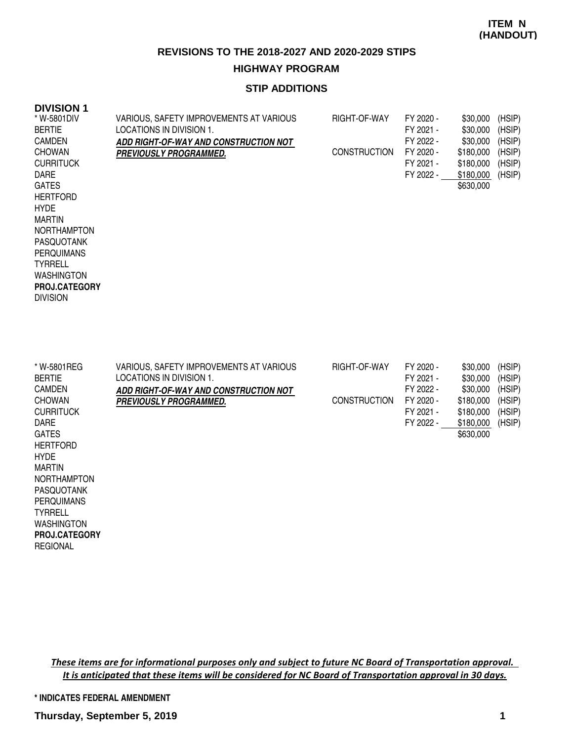### **STIP ADDITIONS**

#### **DIVISION 1**

| * W-5801DIV<br><b>BERTIE</b><br><b>CAMDEN</b><br><b>CHOWAN</b><br><b>CURRITUCK</b><br><b>DARE</b><br><b>GATES</b><br><b>HERTFORD</b><br><b>HYDE</b><br><b>MARTIN</b><br><b>NORTHAMPTON</b><br><b>PASQUOTANK</b><br><b>PERQUIMANS</b><br><b>TYRRELL</b><br><b>WASHINGTON</b><br>PROJ.CATEGORY<br><b>DIVISION</b> | VARIOUS, SAFETY IMPROVEMENTS AT VARIOUS<br>LOCATIONS IN DIVISION 1.<br>ADD RIGHT-OF-WAY AND CONSTRUCTION NOT<br>PREVIOUSLY PROGRAMMED. | RIGHT-OF-WAY<br><b>CONSTRUCTION</b> | FY 2020 -<br>FY 2021 -<br>FY 2022 -<br>FY 2020 -<br>FY 2021 -<br>FY 2022 - | \$30,000<br>\$30,000<br>\$30,000<br>\$180,000<br>\$180,000<br>\$180,000<br>\$630,000 | (HSIP)<br>(HSIP)<br>(HSIP)<br>(HSIP)<br>(HSIP)<br>(HSIP) |
|-----------------------------------------------------------------------------------------------------------------------------------------------------------------------------------------------------------------------------------------------------------------------------------------------------------------|----------------------------------------------------------------------------------------------------------------------------------------|-------------------------------------|----------------------------------------------------------------------------|--------------------------------------------------------------------------------------|----------------------------------------------------------|
| * W-5801REG<br><b>BERTIE</b><br><b>CAMDEN</b><br><b>CHOWAN</b><br><b>CURRITUCK</b><br><b>DARE</b><br><b>GATES</b><br><b>HERTFORD</b><br><b>HYDE</b><br><b>MARTIN</b><br>NORTHAMPTON<br>PASQUOTANK<br><b>PERQUIMANS</b><br><b>TYRRELL</b><br><b>WASHINGTON</b><br>PROJ.CATEGORY<br><b>REGIONAL</b>               | VARIOUS, SAFETY IMPROVEMENTS AT VARIOUS<br>LOCATIONS IN DIVISION 1.<br>ADD RIGHT-OF-WAY AND CONSTRUCTION NOT<br>PREVIOUSLY PROGRAMMED. | RIGHT-OF-WAY<br><b>CONSTRUCTION</b> | FY 2020 -<br>FY 2021 -<br>FY 2022 -<br>FY 2020 -<br>FY 2021 -<br>FY 2022 - | \$30,000<br>\$30,000<br>\$30,000<br>\$180,000<br>\$180,000<br>\$180,000<br>\$630,000 | (HSIP)<br>(HSIP)<br>(HSIP)<br>(HSIP)<br>(HSIP)<br>(HSIP) |

These items are for informational purposes only and subject to future NC Board of Transportation approval. It is anticipated that these items will be considered for NC Board of Transportation approval in 30 days.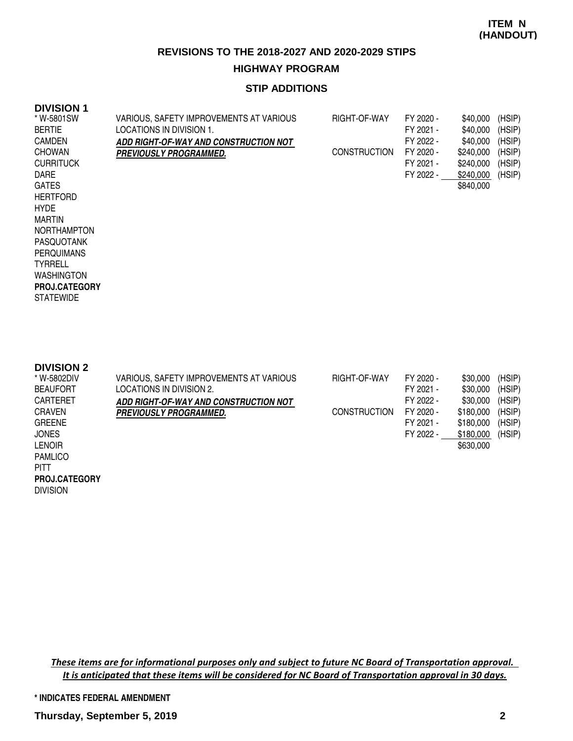### **STIP ADDITIONS**

#### **DIVISION 1**

| * W-5801SW<br><b>BERTIE</b><br><b>CAMDEN</b><br><b>CHOWAN</b><br><b>CURRITUCK</b><br><b>DARE</b><br><b>GATES</b><br><b>HERTFORD</b><br><b>HYDE</b><br><b>MARTIN</b><br><b>NORTHAMPTON</b><br><b>PASQUOTANK</b><br><b>PERQUIMANS</b><br><b>TYRRELL</b><br><b>WASHINGTON</b><br>PROJ.CATEGORY<br><b>STATEWIDE</b> | VARIOUS, SAFETY IMPROVEMENTS AT VARIOUS<br>LOCATIONS IN DIVISION 1.<br>ADD RIGHT-OF-WAY AND CONSTRUCTION NOT<br><b>PREVIOUSLY PROGRAMMED.</b>        | RIGHT-OF-WAY<br><b>CONSTRUCTION</b> | FY 2020 -<br>FY 2021 -<br>FY 2022 -<br>FY 2020 -<br>FY 2021 -<br>FY 2022 - | \$40,000<br>\$40,000<br>\$40,000<br>\$240,000<br>\$240,000<br>\$240,000<br>\$840,000 | (HSIP)<br>(HSIP)<br>(HSIP)<br>(HSIP)<br>(HSIP)<br>(HSIP) |
|-----------------------------------------------------------------------------------------------------------------------------------------------------------------------------------------------------------------------------------------------------------------------------------------------------------------|------------------------------------------------------------------------------------------------------------------------------------------------------|-------------------------------------|----------------------------------------------------------------------------|--------------------------------------------------------------------------------------|----------------------------------------------------------|
| <b>DIVISION 2</b><br>* W-5802DIV<br><b>BEAUFORT</b><br>CARTERET<br><b>CRAVEN</b><br><b>GREENE</b><br><b>JONES</b><br><b>LENOIR</b><br><b>PAMLICO</b><br><b>PITT</b><br>PROJ.CATEGORY<br><b>DUUQIONI</b>                                                                                                         | VARIOUS, SAFETY IMPROVEMENTS AT VARIOUS<br><b>LOCATIONS IN DIVISION 2.</b><br>ADD RIGHT-OF-WAY AND CONSTRUCTION NOT<br><b>PREVIOUSLY PROGRAMMED.</b> | RIGHT-OF-WAY<br><b>CONSTRUCTION</b> | FY 2020 -<br>FY 2021 -<br>FY 2022 -<br>FY 2020 -<br>FY 2021 -<br>FY 2022 - | \$30,000<br>\$30,000<br>\$30,000<br>\$180,000<br>\$180,000<br>\$180,000<br>\$630,000 | (HSIP)<br>(HSIP)<br>(HSIP)<br>(HSIP)<br>(HSIP)<br>(HSIP) |

DIVISION

These items are for informational purposes only and subject to future NC Board of Transportation approval. It is anticipated that these items will be considered for NC Board of Transportation approval in 30 days.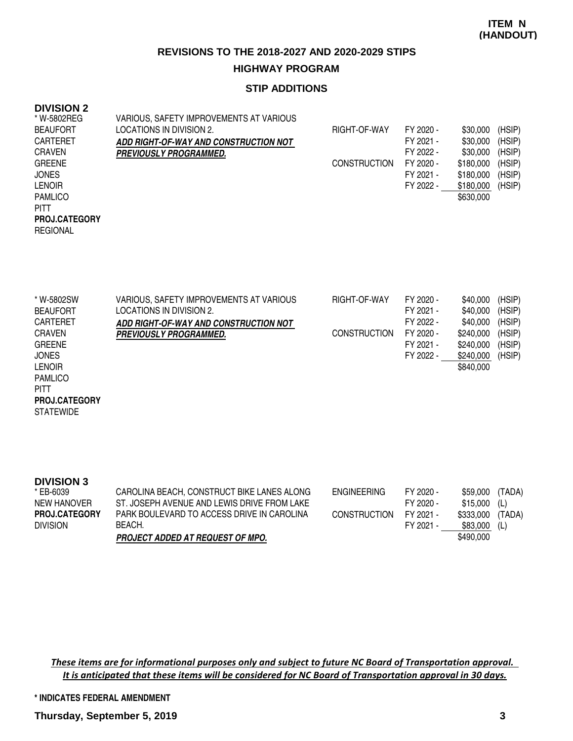## **STIP ADDITIONS**

### **DIVISION 2**

**STATEWIDE PROJ.CATEGORY**

| * W-5802REG          | VARIOUS, SAFETY IMPROVEMENTS AT VARIOUS |                     |           |           |        |
|----------------------|-----------------------------------------|---------------------|-----------|-----------|--------|
| <b>BEAUFORT</b>      | LOCATIONS IN DIVISION 2.                | RIGHT-OF-WAY        | FY 2020 - | \$30,000  | (HSIP) |
| <b>CARTERET</b>      | ADD RIGHT-OF-WAY AND CONSTRUCTION NOT   |                     | FY 2021 - | \$30,000  | (HSIP) |
| <b>CRAVEN</b>        | <i><b>PREVIOUSLY PROGRAMMED.</b></i>    |                     | FY 2022 - | \$30,000  | (HSIP) |
| <b>GREENE</b>        |                                         | <b>CONSTRUCTION</b> | FY 2020 - | \$180,000 | (HSIP) |
| <b>JONES</b>         |                                         |                     | FY 2021 - | \$180,000 | (HSIP) |
| <b>LENOIR</b>        |                                         |                     | FY 2022 - | \$180,000 | (HSIP) |
| <b>PAMLICO</b>       |                                         |                     |           | \$630,000 |        |
| <b>PITT</b>          |                                         |                     |           |           |        |
| <b>PROJ.CATEGORY</b> |                                         |                     |           |           |        |
| <b>REGIONAL</b>      |                                         |                     |           |           |        |
|                      |                                         |                     |           |           |        |

| * W-5802SW      | VARIOUS, SAFETY IMPROVEMENTS AT VARIOUS | RIGHT-OF-WAY        | FY 2020 - | \$40,000  | (HSIP) |
|-----------------|-----------------------------------------|---------------------|-----------|-----------|--------|
| <b>BEAUFORT</b> | LOCATIONS IN DIVISION 2.                |                     | FY 2021 - | \$40,000  | (HSIP) |
| <b>CARTERET</b> | ADD RIGHT-OF-WAY AND CONSTRUCTION NOT   |                     | FY 2022 - | \$40,000  | (HSIP) |
| <b>CRAVEN</b>   | <b>PREVIOUSLY PROGRAMMED.</b>           | <b>CONSTRUCTION</b> | FY 2020 - | \$240,000 | (HSIP) |
| <b>GREENE</b>   |                                         |                     | FY 2021 - | \$240,000 | (HSIP) |
| <b>JONES</b>    |                                         |                     | FY 2022 - | \$240,000 | (HSIP) |
| <b>LENOIR</b>   |                                         |                     |           | \$840,000 |        |
| <b>PAMLICO</b>  |                                         |                     |           |           |        |
| <b>PITT</b>     |                                         |                     |           |           |        |

**DIVISION 3** CAROLINA BEACH, CONSTRUCT BIKE LANES ALONG ST. JOSEPH AVENUE AND LEWIS DRIVE FROM LAKE PARK BOULEVARD TO ACCESS DRIVE IN CAROLINA BEACH. **PROJECT ADDED AT REQUEST OF MPO.** ENGINEERING FY 2020 - \$59,000 (TADA) FY 2020 - \$15,000 (L) CONSTRUCTION FY 2021 - \$333,000 (TADA) FY 2021 - \$83,000 (L) \$490,000 \* EB-6039 NEW HANOVER DIVISION **PROJ.CATEGORY**

These items are for informational purposes only and subject to future NC Board of Transportation approval. It is anticipated that these items will be considered for NC Board of Transportation approval in 30 days.

**\* INDICATES FEDERAL AMENDMENT**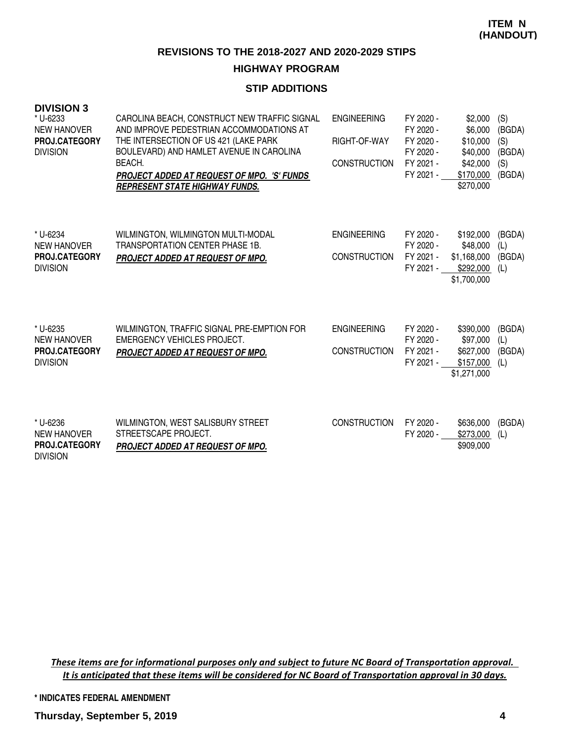# **HIGHWAY PROGRAM**

# **STIP ADDITIONS**

| <b>DIVISION 3</b><br>* U-6233<br><b>NEW HANOVER</b><br>PROJ.CATEGORY<br><b>DIVISION</b> | CAROLINA BEACH, CONSTRUCT NEW TRAFFIC SIGNAL<br>AND IMPROVE PEDESTRIAN ACCOMMODATIONS AT<br>THE INTERSECTION OF US 421 (LAKE PARK<br>BOULEVARD) AND HAMLET AVENUE IN CAROLINA<br>BEACH.<br><b>PROJECT ADDED AT REQUEST OF MPO. 'S' FUNDS</b><br><b>REPRESENT STATE HIGHWAY FUNDS.</b> | <b>ENGINEERING</b><br>RIGHT-OF-WAY<br><b>CONSTRUCTION</b> | FY 2020 -<br>FY 2020 -<br>FY 2020 -<br>FY 2020 -<br>FY 2021 -<br>FY 2021 - | \$2,000<br>\$6,000<br>\$10,000<br>\$40,000<br>\$42,000<br>\$170,000<br>\$270,000 | (S)<br>(BGDA)<br>(S)<br>(BGDA)<br>(S)<br>(BGDA) |
|-----------------------------------------------------------------------------------------|---------------------------------------------------------------------------------------------------------------------------------------------------------------------------------------------------------------------------------------------------------------------------------------|-----------------------------------------------------------|----------------------------------------------------------------------------|----------------------------------------------------------------------------------|-------------------------------------------------|
| * U-6234<br><b>NEW HANOVER</b><br><b>PROJ.CATEGORY</b><br><b>DIVISION</b>               | WILMINGTON, WILMINGTON MULTI-MODAL<br>TRANSPORTATION CENTER PHASE 1B.<br>PROJECT ADDED AT REQUEST OF MPO.                                                                                                                                                                             | <b>ENGINEERING</b><br><b>CONSTRUCTION</b>                 | FY 2020 -<br>FY 2020 -<br>FY 2021 -<br>FY 2021 -                           | \$192,000<br>\$48,000<br>\$1,168,000<br>\$292,000<br>\$1,700,000                 | (BGDA)<br>(L)<br>(BGDA)<br>(L)                  |
| * U-6235<br><b>NEW HANOVER</b><br>PROJ.CATEGORY<br><b>DIVISION</b>                      | WILMINGTON, TRAFFIC SIGNAL PRE-EMPTION FOR<br><b>EMERGENCY VEHICLES PROJECT.</b><br>PROJECT ADDED AT REQUEST OF MPO.                                                                                                                                                                  | <b>ENGINEERING</b><br><b>CONSTRUCTION</b>                 | FY 2020 -<br>FY 2020 -<br>FY 2021 -<br>FY 2021 -                           | \$390,000<br>\$97,000<br>\$627,000<br>\$157,000<br>\$1,271,000                   | (BGDA)<br>(L)<br>(BGDA)<br>(L)                  |
| * U-6236<br><b>NEW HANOVER</b><br>PROJ.CATEGORY                                         | WILMINGTON, WEST SALISBURY STREET<br>STREETSCAPE PROJECT.<br><b>PROJECT ADDED AT REQUEST OF MPO.</b>                                                                                                                                                                                  | <b>CONSTRUCTION</b>                                       | FY 2020 -<br>FY 2020 -                                                     | \$636,000<br>\$273,000<br>\$909,000                                              | (BGDA)<br>(L)                                   |

These items are for informational purposes only and subject to future NC Board of Transportation approval. It is anticipated that these items will be considered for NC Board of Transportation approval in 30 days.

**\* INDICATES FEDERAL AMENDMENT**

DIVISION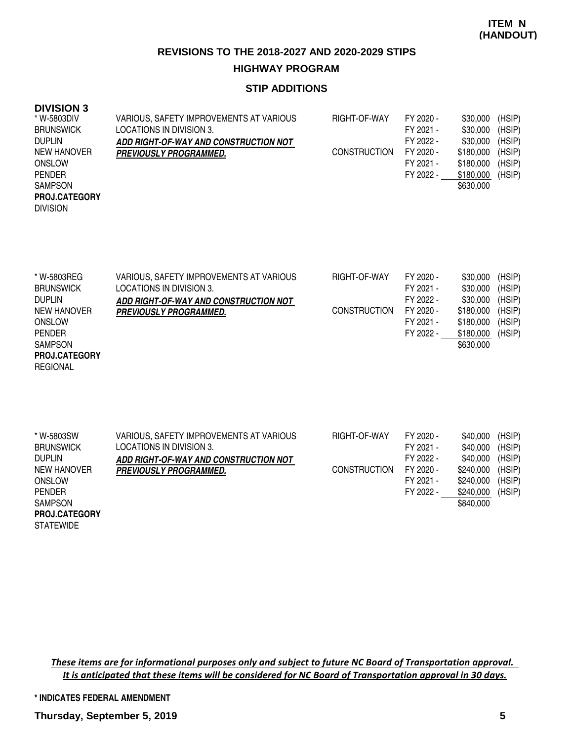### **STIP ADDITIONS**

#### **DIVISION 3**

REGIONAL

| * W-5803DIV          | VARIOUS, SAFETY IMPROVEMENTS AT VARIOUS | RIGHT-OF-WAY        | FY 2020 - | \$30,000  | (HSIP) |
|----------------------|-----------------------------------------|---------------------|-----------|-----------|--------|
| <b>BRUNSWICK</b>     | LOCATIONS IN DIVISION 3.                |                     | FY 2021 - | \$30,000  | (HSIP) |
| <b>DUPLIN</b>        | ADD RIGHT-OF-WAY AND CONSTRUCTION NOT   |                     | FY 2022 - | \$30,000  | (HSIP) |
| NEW HANOVER          | <b>PREVIOUSLY PROGRAMMED.</b>           | <b>CONSTRUCTION</b> | FY 2020 - | \$180,000 | (HSIP) |
| <b>ONSLOW</b>        |                                         |                     | FY 2021 - | \$180,000 | (HSIP) |
| <b>PENDER</b>        |                                         |                     | FY 2022 - | \$180,000 | (HSIP) |
| <b>SAMPSON</b>       |                                         |                     |           | \$630,000 |        |
| <b>PROJ.CATEGORY</b> |                                         |                     |           |           |        |
| <b>DIVISION</b>      |                                         |                     |           |           |        |
|                      |                                         |                     |           |           |        |

| * W-5803REG          | VARIOUS, SAFETY IMPROVEMENTS AT VARIOUS | RIGHT-OF-WAY        | FY 2020 - | \$30,000  | (HSIP) |
|----------------------|-----------------------------------------|---------------------|-----------|-----------|--------|
| <b>BRUNSWICK</b>     | LOCATIONS IN DIVISION 3.                |                     | FY 2021 - | \$30,000  | (HSIP) |
| <b>DUPLIN</b>        | ADD RIGHT-OF-WAY AND CONSTRUCTION NOT   |                     | FY 2022 - | \$30,000  | (HSIP) |
| NEW HANOVER          | <b>PREVIOUSLY PROGRAMMED.</b>           | <b>CONSTRUCTION</b> | FY 2020 - | \$180,000 | (HSIP) |
| <b>ONSLOW</b>        |                                         |                     | FY 2021 - | \$180,000 | (HSIP) |
| <b>PENDER</b>        |                                         |                     | FY 2022 - | \$180,000 | (HSIP) |
| <b>SAMPSON</b>       |                                         |                     |           | \$630,000 |        |
| <b>PROJ.CATEGORY</b> |                                         |                     |           |           |        |

| * W-5803SW           | VARIOUS, SAFETY IMPROVEMENTS AT VARIOUS | RIGHT-OF-WAY        | FY 2020 - | \$40,000  | (HSIP) |
|----------------------|-----------------------------------------|---------------------|-----------|-----------|--------|
| <b>BRUNSWICK</b>     | LOCATIONS IN DIVISION 3.                |                     | FY 2021 - | \$40,000  | (HSIP) |
| <b>DUPLIN</b>        | ADD RIGHT-OF-WAY AND CONSTRUCTION NOT   |                     | FY 2022 - | \$40,000  | (HSIP) |
| NEW HANOVER          | <b>PREVIOUSLY PROGRAMMED.</b>           | <b>CONSTRUCTION</b> | FY 2020 - | \$240,000 | (HSIP) |
| <b>ONSLOW</b>        |                                         |                     | FY 2021 - | \$240.000 | (HSIP) |
| <b>PENDER</b>        |                                         |                     | FY 2022 - | \$240,000 | (HSIP) |
| <b>SAMPSON</b>       |                                         |                     |           | \$840,000 |        |
| <b>PROJ.CATEGORY</b> |                                         |                     |           |           |        |
| <b>STATEWIDE</b>     |                                         |                     |           |           |        |

These items are for informational purposes only and subject to future NC Board of Transportation approval. It is anticipated that these items will be considered for NC Board of Transportation approval in 30 days.

#### **\* INDICATES FEDERAL AMENDMENT**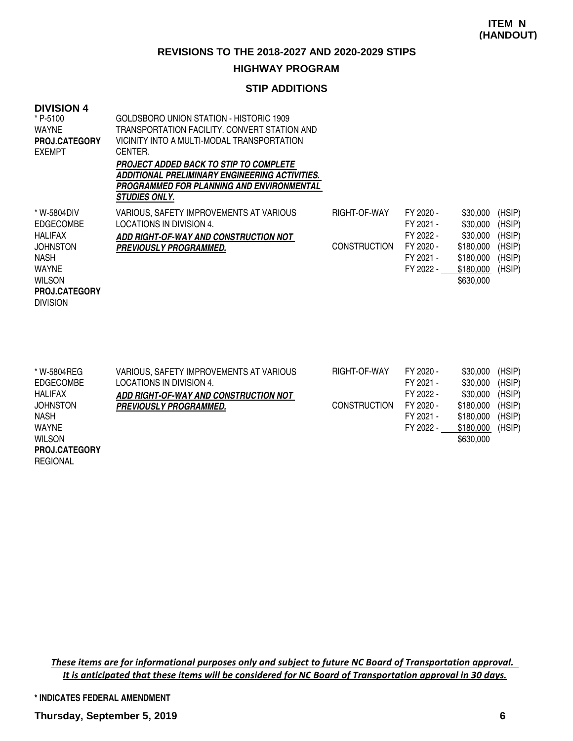#### **HIGHWAY PROGRAM**

### **STIP ADDITIONS**

| <b>DIVISION 4</b><br>* P-5100<br><b>WAYNE</b><br><b>PROJ.CATEGORY</b><br><b>EXEMPT</b>                                                                   | GOLDSBORO UNION STATION - HISTORIC 1909<br>TRANSPORTATION FACILITY, CONVERT STATION AND<br>VICINITY INTO A MULTI-MODAL TRANSPORTATION<br>CENTER.<br>PROJECT ADDED BACK TO STIP TO COMPLETE<br>ADDITIONAL PRELIMINARY ENGINEERING ACTIVITIES.<br>PROGRAMMED FOR PLANNING AND ENVIRONMENTAL<br><b>STUDIES ONLY.</b> |                                     |                                                                            |                                                                                      |                                                          |
|----------------------------------------------------------------------------------------------------------------------------------------------------------|-------------------------------------------------------------------------------------------------------------------------------------------------------------------------------------------------------------------------------------------------------------------------------------------------------------------|-------------------------------------|----------------------------------------------------------------------------|--------------------------------------------------------------------------------------|----------------------------------------------------------|
| * W-5804DIV<br><b>EDGECOMBE</b><br><b>HALIFAX</b><br><b>JOHNSTON</b><br>NASH<br><b>WAYNE</b><br><b>WILSON</b><br><b>PROJ.CATEGORY</b><br><b>DIVISION</b> | VARIOUS, SAFETY IMPROVEMENTS AT VARIOUS<br>LOCATIONS IN DIVISION 4.<br>ADD RIGHT-OF-WAY AND CONSTRUCTION NOT<br><b>PREVIOUSLY PROGRAMMED.</b>                                                                                                                                                                     | RIGHT-OF-WAY<br><b>CONSTRUCTION</b> | FY 2020 -<br>FY 2021 -<br>FY 2022 -<br>FY 2020 -<br>FY 2021 -<br>FY 2022 - | \$30,000<br>\$30,000<br>\$30,000<br>\$180,000<br>\$180,000<br>\$180,000<br>\$630,000 | (HSIP)<br>(HSIP)<br>(HSIP)<br>(HSIP)<br>(HSIP)<br>(HSIP) |

| * W-5804REG          | VARIOUS, SAFETY IMPROVEMENTS AT VARIOUS | RIGHT-OF-WAY        | FY 2020 - | \$30,000  | (HSIP) |
|----------------------|-----------------------------------------|---------------------|-----------|-----------|--------|
| <b>EDGECOMBE</b>     | LOCATIONS IN DIVISION 4.                |                     | FY 2021 - | \$30,000  | (HSIP) |
| <b>HALIFAX</b>       | ADD RIGHT-OF-WAY AND CONSTRUCTION NOT   |                     | FY 2022 - | \$30,000  | (HSIP) |
| <b>JOHNSTON</b>      | <b>PREVIOUSLY PROGRAMMED.</b>           | <b>CONSTRUCTION</b> | FY 2020 - | \$180,000 | (HSIP) |
| <b>NASH</b>          |                                         |                     | FY 2021 - | \$180,000 | (HSIP) |
| WAYNE                |                                         |                     | FY 2022 - | \$180,000 | (HSIP) |
| <b>WILSON</b>        |                                         |                     |           | \$630,000 |        |
| <b>PROJ.CATEGORY</b> |                                         |                     |           |           |        |
| <b>REGIONAL</b>      |                                         |                     |           |           |        |

These items are for informational purposes only and subject to future NC Board of Transportation approval. It is anticipated that these items will be considered for NC Board of Transportation approval in 30 days.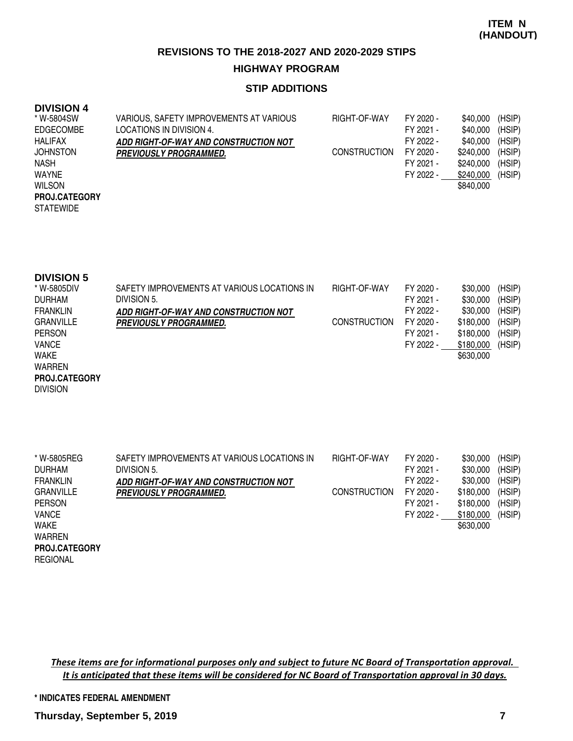### **STIP ADDITIONS**

#### **DIVISION 4**

| * W-5804SW           | VARIOUS, SAFETY IMPROVEMENTS AT VARIOUS | RIGHT-OF-WAY        | FY 2020 - | \$40,000  | (HSIP) |
|----------------------|-----------------------------------------|---------------------|-----------|-----------|--------|
| <b>EDGECOMBE</b>     | LOCATIONS IN DIVISION 4.                |                     | FY 2021 - | \$40,000  | (HSIP) |
| <b>HALIFAX</b>       | ADD RIGHT-OF-WAY AND CONSTRUCTION NOT   |                     | FY 2022 - | \$40,000  | (HSIP) |
| <b>JOHNSTON</b>      | <b>PREVIOUSLY PROGRAMMED.</b>           | <b>CONSTRUCTION</b> | FY 2020 - | \$240,000 | (HSIP) |
| <b>NASH</b>          |                                         |                     | FY 2021 - | \$240,000 | (HSIP) |
| WAYNE                |                                         |                     | FY 2022 - | \$240,000 | (HSIP) |
| <b>WILSON</b>        |                                         |                     |           | \$840,000 |        |
| <b>PROJ.CATEGORY</b> |                                         |                     |           |           |        |
| <b>STATEWIDE</b>     |                                         |                     |           |           |        |
|                      |                                         |                     |           |           |        |

| <b>DIVISION 5</b> |                                             |                     |           |           |        |
|-------------------|---------------------------------------------|---------------------|-----------|-----------|--------|
| * W-5805DIV       | SAFETY IMPROVEMENTS AT VARIOUS LOCATIONS IN | RIGHT-OF-WAY        | FY 2020 - | \$30,000  | (HSIP) |
| <b>DURHAM</b>     | DIVISION 5.                                 |                     | FY 2021 - | \$30,000  | (HSIP) |
| <b>FRANKLIN</b>   | ADD RIGHT-OF-WAY AND CONSTRUCTION NOT       |                     | FY 2022 - | \$30,000  | (HSIP) |
| <b>GRANVILLE</b>  | <b>PREVIOUSLY PROGRAMMED.</b>               | <b>CONSTRUCTION</b> | FY 2020 - | \$180,000 | (HSIP) |
| <b>PERSON</b>     |                                             |                     | FY 2021 - | \$180,000 | (HSIP) |
| <b>VANCE</b>      |                                             |                     | FY 2022 - | \$180,000 | (HSIP) |
| <b>WAKE</b>       |                                             |                     |           | \$630,000 |        |
| <b>111455551</b>  |                                             |                     |           |           |        |

WARREN DIVISION **PROJ.CATEGORY**

| * W-5805REG          | SAFETY IMPROVEMENTS AT VARIOUS LOCATIONS IN | RIGHT-OF-WAY        | FY 2020 - | \$30,000  | (HSIP) |
|----------------------|---------------------------------------------|---------------------|-----------|-----------|--------|
| <b>DURHAM</b>        | DIVISION 5.                                 |                     | FY 2021 - | \$30,000  | (HSIP) |
| <b>FRANKLIN</b>      | ADD RIGHT-OF-WAY AND CONSTRUCTION NOT       |                     | FY 2022 - | \$30,000  | (HSIP) |
| <b>GRANVILLE</b>     | <b>PREVIOUSLY PROGRAMMED.</b>               | <b>CONSTRUCTION</b> | FY 2020 - | \$180,000 | (HSIP) |
| <b>PERSON</b>        |                                             |                     | FY 2021 - | \$180,000 | (HSIP) |
| <b>VANCE</b>         |                                             |                     | FY 2022 - | \$180,000 | (HSIP) |
| <b>WAKE</b>          |                                             |                     |           | \$630,000 |        |
| <b>WARREN</b>        |                                             |                     |           |           |        |
| <b>PROJ.CATEGORY</b> |                                             |                     |           |           |        |
| <b>REGIONAL</b>      |                                             |                     |           |           |        |

These items are for informational purposes only and subject to future NC Board of Transportation approval. It is anticipated that these items will be considered for NC Board of Transportation approval in 30 days.

#### **\* INDICATES FEDERAL AMENDMENT**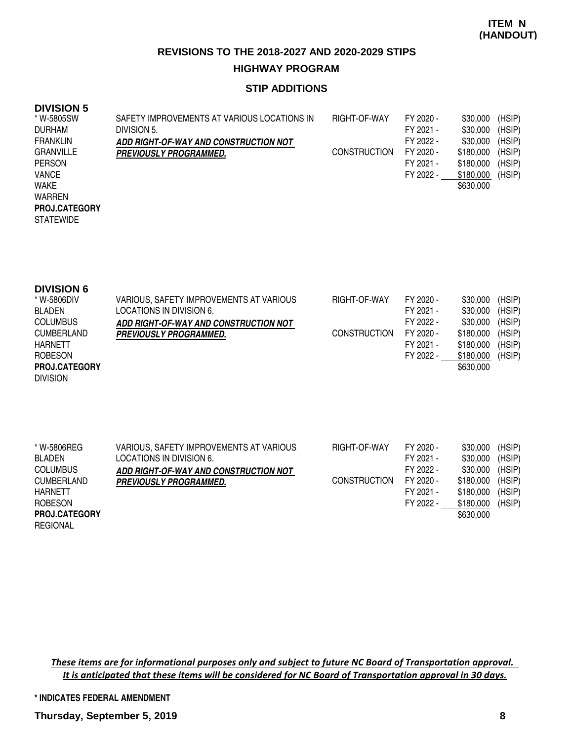### **STIP ADDITIONS**

## **DIVISION 5**

| * W-5805SW           | SAFETY IMPROVEMENTS AT VARIOUS LOCATIONS IN | RIGHT-OF-WAY        | FY 2020 - | \$30,000  | (HSIP) |
|----------------------|---------------------------------------------|---------------------|-----------|-----------|--------|
| <b>DURHAM</b>        | DIVISION 5.                                 |                     | FY 2021 - | \$30,000  | (HSIP) |
| <b>FRANKLIN</b>      | ADD RIGHT-OF-WAY AND CONSTRUCTION NOT       |                     | FY 2022 - | \$30,000  | (HSIP) |
| <b>GRANVILLE</b>     | <i><b>PREVIOUSLY PROGRAMMED.</b></i>        | <b>CONSTRUCTION</b> | FY 2020 - | \$180,000 | (HSIP) |
| <b>PERSON</b>        |                                             |                     | FY 2021 - | \$180,000 | (HSIP) |
| <b>VANCE</b>         |                                             |                     | FY 2022 - | \$180,000 | (HSIP) |
| <b>WAKE</b>          |                                             |                     |           | \$630,000 |        |
| <b>WARREN</b>        |                                             |                     |           |           |        |
| <b>PROJ.CATEGORY</b> |                                             |                     |           |           |        |
| <b>STATEWIDE</b>     |                                             |                     |           |           |        |

| <b>DIVISION 6</b>    |                                         |                     |           |           |        |
|----------------------|-----------------------------------------|---------------------|-----------|-----------|--------|
| * W-5806DIV          | VARIOUS, SAFETY IMPROVEMENTS AT VARIOUS | RIGHT-OF-WAY        | FY 2020 - | \$30,000  | (HSIP) |
| <b>BLADEN</b>        | LOCATIONS IN DIVISION 6.                |                     | FY 2021 - | \$30,000  | (HSIP) |
| <b>COLUMBUS</b>      | ADD RIGHT-OF-WAY AND CONSTRUCTION NOT   |                     | FY 2022 - | \$30,000  | (HSIP) |
| <b>CUMBERLAND</b>    | <b>PREVIOUSLY PROGRAMMED.</b>           | <b>CONSTRUCTION</b> | FY 2020 - | \$180,000 | (HSIP) |
| <b>HARNETT</b>       |                                         |                     | FY 2021 - | \$180,000 | (HSIP) |
| <b>ROBESON</b>       |                                         |                     | FY 2022 - | \$180,000 | (HSIP) |
| <b>PROJ.CATEGORY</b> |                                         |                     |           | \$630,000 |        |
| <b>DIVISION</b>      |                                         |                     |           |           |        |

| * W-5806REG          | VARIOUS, SAFETY IMPROVEMENTS AT VARIOUS | RIGHT-OF-WAY        | FY 2020 - | \$30,000  | (HSIP) |
|----------------------|-----------------------------------------|---------------------|-----------|-----------|--------|
| <b>BLADEN</b>        | LOCATIONS IN DIVISION 6.                |                     | FY 2021 - | \$30,000  | (HSIP) |
| <b>COLUMBUS</b>      | ADD RIGHT-OF-WAY AND CONSTRUCTION NOT   |                     | FY 2022 - | \$30,000  | (HSIP) |
| <b>CUMBERLAND</b>    | <b>PREVIOUSLY PROGRAMMED.</b>           | <b>CONSTRUCTION</b> | FY 2020 - | \$180.000 | (HSIP) |
| <b>HARNETT</b>       |                                         |                     | FY 2021 - | \$180,000 | (HSIP) |
| <b>ROBESON</b>       |                                         |                     | FY 2022 - | \$180,000 | (HSIP) |
| <b>PROJ.CATEGORY</b> |                                         |                     |           | \$630,000 |        |
| <b>REGIONAL</b>      |                                         |                     |           |           |        |

These items are for informational purposes only and subject to future NC Board of Transportation approval. It is anticipated that these items will be considered for NC Board of Transportation approval in 30 days.

#### **\* INDICATES FEDERAL AMENDMENT**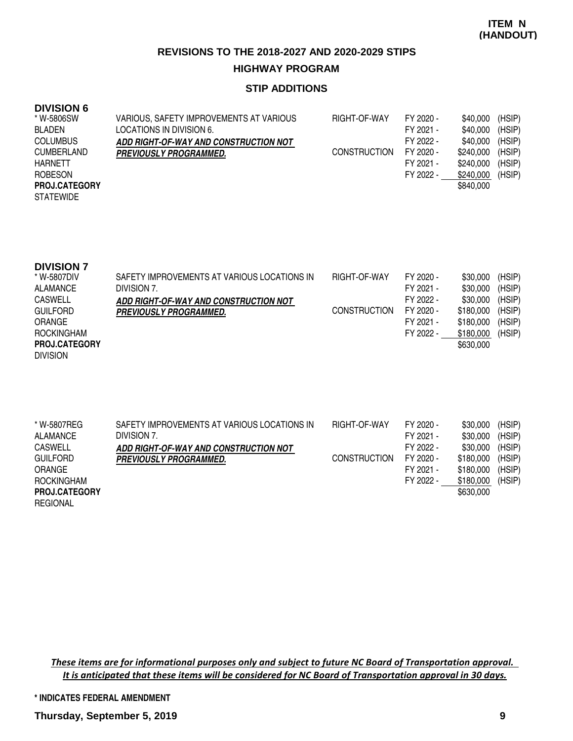### **STIP ADDITIONS**

#### **DIVISION 6**

| * W-5806SW           | VARIOUS, SAFETY IMPROVEMENTS AT VARIOUS | RIGHT-OF-WAY        | FY 2020 - | \$40,000  | (HSIP) |
|----------------------|-----------------------------------------|---------------------|-----------|-----------|--------|
| <b>BLADEN</b>        | LOCATIONS IN DIVISION 6.                |                     | FY 2021 - | \$40,000  | (HSIP) |
| <b>COLUMBUS</b>      | ADD RIGHT-OF-WAY AND CONSTRUCTION NOT   |                     | FY 2022 - | \$40,000  | (HSIP) |
| <b>CUMBERLAND</b>    | <b>PREVIOUSLY PROGRAMMED.</b>           | <b>CONSTRUCTION</b> | FY 2020 - | \$240,000 | (HSIP) |
| <b>HARNETT</b>       |                                         |                     | FY 2021 - | \$240.000 | (HSIP) |
| <b>ROBESON</b>       |                                         |                     | FY 2022 - | \$240,000 | (HSIP) |
| <b>PROJ.CATEGORY</b> |                                         |                     |           | \$840.000 |        |
| <b>STATEWIDE</b>     |                                         |                     |           |           |        |

| <b>DIVISION 7</b>    |                                             |                     |           |           |        |
|----------------------|---------------------------------------------|---------------------|-----------|-----------|--------|
| * W-5807DIV          | SAFETY IMPROVEMENTS AT VARIOUS LOCATIONS IN | RIGHT-OF-WAY        | FY 2020 - | \$30,000  | (HSIP) |
| ALAMANCE             | DIVISION 7.                                 |                     | FY 2021 - | \$30,000  | (HSIP) |
| <b>CASWELL</b>       | ADD RIGHT-OF-WAY AND CONSTRUCTION NOT       |                     | FY 2022 - | \$30,000  | (HSIP) |
| <b>GUILFORD</b>      | <b>PREVIOUSLY PROGRAMMED.</b>               | <b>CONSTRUCTION</b> | FY 2020 - | \$180,000 | (HSIP) |
| ORANGE               |                                             |                     | FY 2021 - | \$180,000 | (HSIP) |
| ROCKINGHAM           |                                             |                     | FY 2022 - | \$180,000 | (HSIP) |
| <b>PROJ.CATEGORY</b> |                                             |                     |           | \$630,000 |        |
| <b>DIVISION</b>      |                                             |                     |           |           |        |

| * W-5807REG<br><b>ALAMANCE</b> | SAFETY IMPROVEMENTS AT VARIOUS LOCATIONS IN<br>DIVISION 7. | RIGHT-OF-WAY        | FY 2020 -<br>FY 2021 - | \$30,000<br>\$30,000 | (HSIP)<br>(HSIP) |
|--------------------------------|------------------------------------------------------------|---------------------|------------------------|----------------------|------------------|
| <b>CASWELL</b>                 |                                                            |                     | FY 2022 -              | \$30,000             | (HSIP)           |
|                                | ADD RIGHT-OF-WAY AND CONSTRUCTION NOT                      |                     |                        |                      |                  |
| <b>GUILFORD</b>                | <b>PREVIOUSLY PROGRAMMED.</b>                              | <b>CONSTRUCTION</b> | FY 2020 -              | \$180,000            | (HSIP)           |
| <b>ORANGE</b>                  |                                                            |                     | FY 2021 -              | \$180,000            | (HSIP)           |
| <b>ROCKINGHAM</b>              |                                                            |                     | FY 2022 -              | \$180,000            | (HSIP)           |
| PROJ.CATEGORY                  |                                                            |                     |                        | \$630,000            |                  |
| <b>REGIONAL</b>                |                                                            |                     |                        |                      |                  |

These items are for informational purposes only and subject to future NC Board of Transportation approval. It is anticipated that these items will be considered for NC Board of Transportation approval in 30 days.

**\* INDICATES FEDERAL AMENDMENT**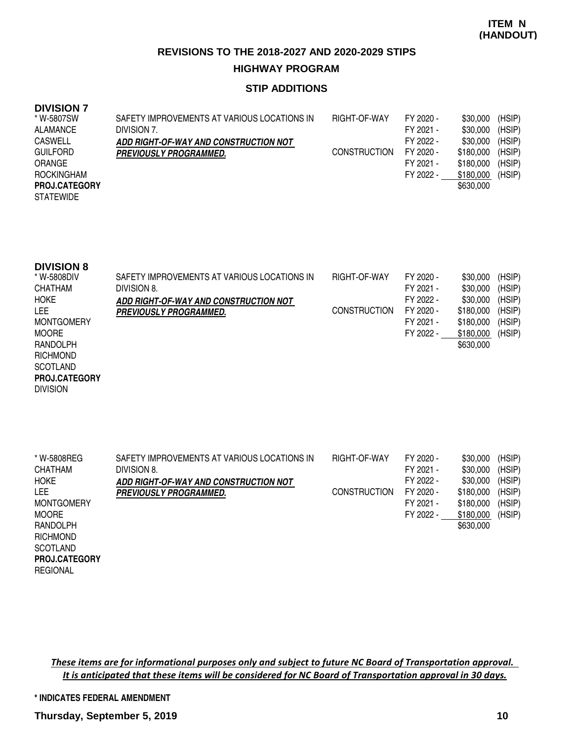### **STIP ADDITIONS**

### **DIVISION 7**

| * W-5807SW           | SAFETY IMPROVEMENTS AT VARIOUS LOCATIONS IN | RIGHT-OF-WAY        | FY 2020 - | \$30,000  | (HSIP) |
|----------------------|---------------------------------------------|---------------------|-----------|-----------|--------|
| ALAMANCE             | DIVISION 7.                                 |                     | FY 2021 - | \$30,000  | (HSIP) |
| <b>CASWELL</b>       | ADD RIGHT-OF-WAY AND CONSTRUCTION NOT       |                     | FY 2022 - | \$30,000  | (HSIP) |
| <b>GUILFORD</b>      | <i><b>PREVIOUSLY PROGRAMMED.</b></i>        | <b>CONSTRUCTION</b> | FY 2020 - | \$180,000 | (HSIP) |
| <b>ORANGE</b>        |                                             |                     | FY 2021 - | \$180.000 | (HSIP) |
| ROCKINGHAM           |                                             |                     | FY 2022 - | \$180,000 | (HSIP) |
| <b>PROJ.CATEGORY</b> |                                             |                     |           | \$630,000 |        |
| <b>STATEWIDE</b>     |                                             |                     |           |           |        |

| <b>DIVISION 8</b> |  |
|-------------------|--|
|-------------------|--|

| * W-5808DIV       | SAFETY IMPROVEMENTS AT VARIOUS LOCATIONS IN | RIGHT-OF-WAY        | FY 2020 - | \$30,000  | (HSIP) |
|-------------------|---------------------------------------------|---------------------|-----------|-----------|--------|
| CHATHAM           | DIVISION 8.                                 |                     | FY 2021 - | \$30,000  | (HSIP) |
| <b>HOKE</b>       | ADD RIGHT-OF-WAY AND CONSTRUCTION NOT       |                     | FY 2022 - | \$30,000  | (HSIP) |
| LEE               | <b>PREVIOUSLY PROGRAMMED.</b>               | <b>CONSTRUCTION</b> | FY 2020 - | \$180,000 | (HSIP) |
| <b>MONTGOMERY</b> |                                             |                     | FY 2021 - | \$180,000 | (HSIP) |
| <b>MOORE</b>      |                                             |                     | FY 2022 - | \$180,000 | (HSIP) |
| RANDOLPH          |                                             |                     |           | \$630,000 |        |
| <b>RICHMOND</b>   |                                             |                     |           |           |        |

**SCOTLAND PROJ.CATEGORY**

DIVISION

**REGIONAL** 

| * W-5808REG          | SAFETY IMPROVEMENTS AT VARIOUS LOCATIONS IN | RIGHT-OF-WAY        | FY 2020 - | \$30,000  | (HSIP) |
|----------------------|---------------------------------------------|---------------------|-----------|-----------|--------|
| <b>CHATHAM</b>       | DIVISION 8.                                 |                     | FY 2021 - | \$30,000  | (HSIP) |
| <b>HOKE</b>          | ADD RIGHT-OF-WAY AND CONSTRUCTION NOT       |                     | FY 2022 - | \$30,000  | (HSIP) |
| LEE.                 | <b>PREVIOUSLY PROGRAMMED.</b>               | <b>CONSTRUCTION</b> | FY 2020 - | \$180,000 | (HSIP) |
| <b>MONTGOMERY</b>    |                                             |                     | FY 2021 - | \$180,000 | (HSIP) |
| <b>MOORE</b>         |                                             |                     | FY 2022 - | \$180,000 | (HSIP) |
| RANDOLPH             |                                             |                     |           | \$630,000 |        |
| <b>RICHMOND</b>      |                                             |                     |           |           |        |
| <b>SCOTLAND</b>      |                                             |                     |           |           |        |
| <b>PROJ.CATEGORY</b> |                                             |                     |           |           |        |

These items are for informational purposes only and subject to future NC Board of Transportation approval. It is anticipated that these items will be considered for NC Board of Transportation approval in 30 days.

#### **\* INDICATES FEDERAL AMENDMENT**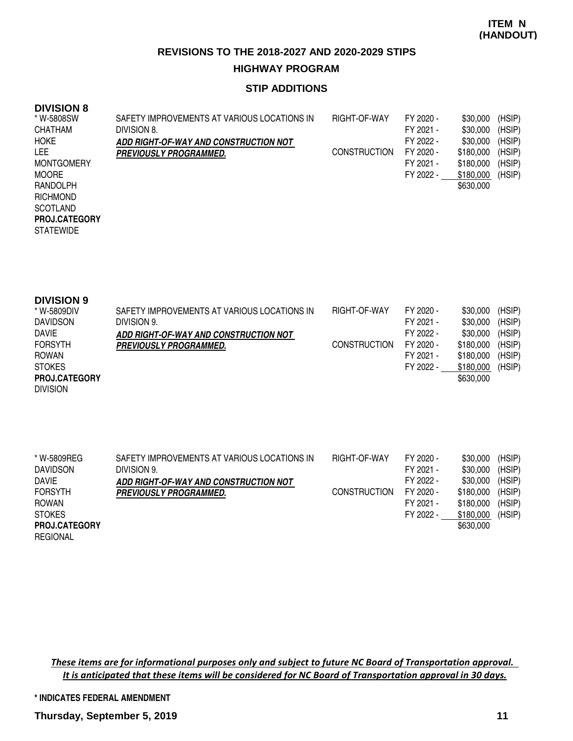### **STIP ADDITIONS**

## **DIVISION 8**

| * W-5808SW           | SAFETY IMPROVEMENTS AT VARIOUS LOCATIONS IN | RIGHT-OF-WAY        | FY 2020 - | \$30,000  | (HSIP) |
|----------------------|---------------------------------------------|---------------------|-----------|-----------|--------|
| <b>CHATHAM</b>       | DIVISION 8.                                 |                     | FY 2021 - | \$30,000  | (HSIP) |
| <b>HOKE</b>          | ADD RIGHT-OF-WAY AND CONSTRUCTION NOT       |                     | FY 2022 - | \$30,000  | (HSIP) |
| LEE.                 | <i><b>PREVIOUSLY PROGRAMMED.</b></i>        | <b>CONSTRUCTION</b> | FY 2020 - | \$180,000 | (HSIP) |
| <b>MONTGOMERY</b>    |                                             |                     | FY 2021 - | \$180,000 | (HSIP) |
| <b>MOORE</b>         |                                             |                     | FY 2022 - | \$180,000 | (HSIP) |
| RANDOLPH             |                                             |                     |           | \$630,000 |        |
| <b>RICHMOND</b>      |                                             |                     |           |           |        |
| <b>SCOTLAND</b>      |                                             |                     |           |           |        |
| <b>PROJ.CATEGORY</b> |                                             |                     |           |           |        |
| <b>STATEWIDE</b>     |                                             |                     |           |           |        |

| <b>DIVISION 9</b>    |                                             |                     |           |           |        |
|----------------------|---------------------------------------------|---------------------|-----------|-----------|--------|
| * W-5809DIV          | SAFETY IMPROVEMENTS AT VARIOUS LOCATIONS IN | RIGHT-OF-WAY        | FY 2020 - | \$30,000  | (HSIP) |
| <b>DAVIDSON</b>      | DIVISION 9.                                 |                     | FY 2021 - | \$30,000  | (HSIP) |
| <b>DAVIE</b>         | ADD RIGHT-OF-WAY AND CONSTRUCTION NOT       |                     | FY 2022 - | \$30,000  | (HSIP) |
| <b>FORSYTH</b>       | <b>PREVIOUSLY PROGRAMMED.</b>               | <b>CONSTRUCTION</b> | FY 2020 - | \$180,000 | (HSIP) |
| ROWAN                |                                             |                     | FY 2021 - | \$180,000 | (HSIP) |
| <b>STOKES</b>        |                                             |                     | FY 2022 - | \$180,000 | (HSIP) |
| <b>PROJ.CATEGORY</b> |                                             |                     |           | \$630,000 |        |
| <b>DIVISION</b>      |                                             |                     |           |           |        |

| * W-5809REG          | SAFETY IMPROVEMENTS AT VARIOUS LOCATIONS IN | RIGHT-OF-WAY        | FY 2020 - | \$30,000  | (HSIP) |
|----------------------|---------------------------------------------|---------------------|-----------|-----------|--------|
| <b>DAVIDSON</b>      | DIVISION 9.                                 |                     | FY 2021 - | \$30,000  | (HSIP) |
| <b>DAVIE</b>         | ADD RIGHT-OF-WAY AND CONSTRUCTION NOT       |                     | FY 2022 - | \$30,000  | (HSIP) |
| <b>FORSYTH</b>       | <b>PREVIOUSLY PROGRAMMED.</b>               | <b>CONSTRUCTION</b> | FY 2020 - | \$180.000 | (HSIP) |
| <b>ROWAN</b>         |                                             |                     | FY 2021 - | \$180,000 | (HSIP) |
| <b>STOKES</b>        |                                             |                     | FY 2022 - | \$180,000 | (HSIP) |
| <b>PROJ.CATEGORY</b> |                                             |                     |           | \$630,000 |        |
| <b>REGIONAL</b>      |                                             |                     |           |           |        |

These items are for informational purposes only and subject to future NC Board of Transportation approval. It is anticipated that these items will be considered for NC Board of Transportation approval in 30 days.

#### **\* INDICATES FEDERAL AMENDMENT**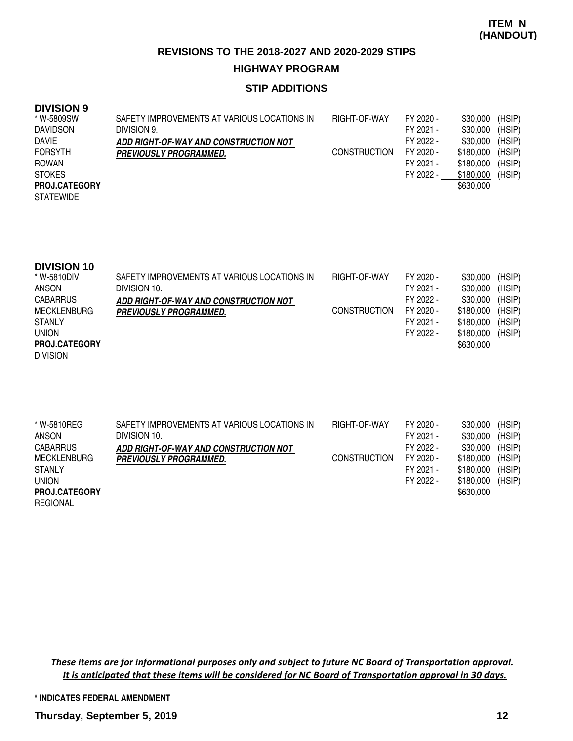### **STIP ADDITIONS**

## **DIVISION 9**

| * W-5809SW           | SAFETY IMPROVEMENTS AT VARIOUS LOCATIONS IN | RIGHT-OF-WAY        | FY 2020 - | \$30,000  | (HSIP) |
|----------------------|---------------------------------------------|---------------------|-----------|-----------|--------|
| <b>DAVIDSON</b>      | DIVISION 9.                                 |                     | FY 2021 - | \$30,000  | (HSIP) |
| <b>DAVIE</b>         | ADD RIGHT-OF-WAY AND CONSTRUCTION NOT       |                     | FY 2022 - | \$30,000  | (HSIP) |
| <b>FORSYTH</b>       | <i><b>PREVIOUSLY PROGRAMMED.</b></i>        | <b>CONSTRUCTION</b> | FY 2020 - | \$180,000 | (HSIP) |
| ROWAN                |                                             |                     | FY 2021 - | \$180.000 | (HSIP) |
| <b>STOKES</b>        |                                             |                     | FY 2022 - | \$180,000 | (HSIP) |
| <b>PROJ.CATEGORY</b> |                                             |                     |           | \$630,000 |        |
| <b>STATEWIDE</b>     |                                             |                     |           |           |        |

| <b>DIVISION 10</b>   |                                             |                     |           |           |        |
|----------------------|---------------------------------------------|---------------------|-----------|-----------|--------|
| * W-5810DIV          | SAFETY IMPROVEMENTS AT VARIOUS LOCATIONS IN | RIGHT-OF-WAY        | FY 2020 - | \$30,000  | (HSIP) |
| ANSON                | DIVISION 10.                                |                     | FY 2021 - | \$30,000  | (HSIP) |
| <b>CABARRUS</b>      | ADD RIGHT-OF-WAY AND CONSTRUCTION NOT       |                     | FY 2022 - | \$30,000  | (HSIP) |
| <b>MECKLENBURG</b>   | <b>PREVIOUSLY PROGRAMMED.</b>               | <b>CONSTRUCTION</b> | FY 2020 - | \$180,000 | (HSIP) |
| <b>STANLY</b>        |                                             |                     | FY 2021 - | \$180,000 | (HSIP) |
| <b>UNION</b>         |                                             |                     | FY 2022 - | \$180,000 | (HSIP) |
| <b>PROJ.CATEGORY</b> |                                             |                     |           | \$630,000 |        |
| <b>DIVISION</b>      |                                             |                     |           |           |        |

| * W-5810REG<br><b>ANSON</b> | SAFETY IMPROVEMENTS AT VARIOUS LOCATIONS IN<br>DIVISION 10. | RIGHT-OF-WAY        | FY 2020 -<br>FY 2021 - | \$30,000<br>\$30,000 | (HSIP)<br>(HSIP) |
|-----------------------------|-------------------------------------------------------------|---------------------|------------------------|----------------------|------------------|
| <b>CABARRUS</b>             | ADD RIGHT-OF-WAY AND CONSTRUCTION NOT                       |                     | FY 2022 -              | \$30,000             | (HSIP)           |
| <b>MECKLENBURG</b>          | <b>PREVIOUSLY PROGRAMMED.</b>                               | <b>CONSTRUCTION</b> | FY 2020 -              | \$180,000            | (HSIP)           |
| <b>STANLY</b>               |                                                             |                     | FY 2021 -              | \$180,000            | (HSIP)           |
| <b>UNION</b>                |                                                             |                     | FY 2022 -              | \$180,000            | (HSIP)           |
| PROJ.CATEGORY               |                                                             |                     |                        | \$630,000            |                  |
| <b>REGIONAL</b>             |                                                             |                     |                        |                      |                  |

These items are for informational purposes only and subject to future NC Board of Transportation approval. It is anticipated that these items will be considered for NC Board of Transportation approval in 30 days.

#### **\* INDICATES FEDERAL AMENDMENT**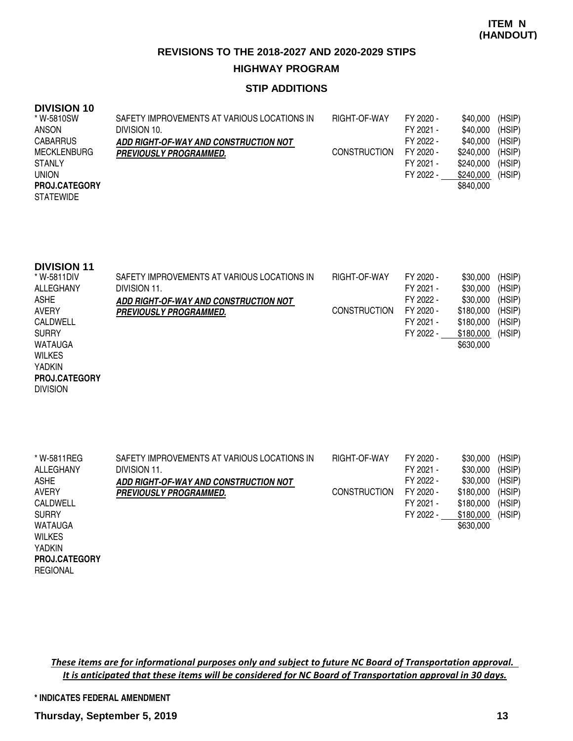### **STIP ADDITIONS**

#### **DIVISION 10**

| * W-5810SW           | SAFETY IMPROVEMENTS AT VARIOUS LOCATIONS IN | RIGHT-OF-WAY        | FY 2020 - | \$40,000  | (HSIP) |
|----------------------|---------------------------------------------|---------------------|-----------|-----------|--------|
| ANSON                | DIVISION 10.                                |                     | FY 2021 - | \$40,000  | (HSIP) |
| <b>CABARRUS</b>      | ADD RIGHT-OF-WAY AND CONSTRUCTION NOT       |                     | FY 2022 - | \$40,000  | (HSIP) |
| <b>MECKLENBURG</b>   | <b>PREVIOUSLY PROGRAMMED.</b>               | <b>CONSTRUCTION</b> | FY 2020 - | \$240,000 | (HSIP) |
| <b>STANLY</b>        |                                             |                     | FY 2021 - | \$240.000 | (HSIP) |
| <b>UNION</b>         |                                             |                     | FY 2022 - | \$240,000 | (HSIP) |
| <b>PROJ.CATEGORY</b> |                                             |                     |           | \$840,000 |        |
| <b>STATEWIDE</b>     |                                             |                     |           |           |        |

| <b>DIVISION 11</b> |                                             |                     |           |           |        |
|--------------------|---------------------------------------------|---------------------|-----------|-----------|--------|
| * W-5811DIV        | SAFETY IMPROVEMENTS AT VARIOUS LOCATIONS IN | RIGHT-OF-WAY        | FY 2020 - | \$30,000  | (HSIP) |
| ALLEGHANY          | DIVISION 11.                                |                     | FY 2021 - | \$30,000  | (HSIP) |
| <b>ASHE</b>        | ADD RIGHT-OF-WAY AND CONSTRUCTION NOT       |                     | FY 2022 - | \$30,000  | (HSIP) |
| <b>AVERY</b>       | <b>PREVIOUSLY PROGRAMMED.</b>               | <b>CONSTRUCTION</b> | FY 2020 - | \$180,000 | (HSIP) |
| CALDWELL           |                                             |                     | FY 2021 - | \$180,000 | (HSIP) |
| <b>SURRY</b>       |                                             |                     | FY 2022 - | \$180,000 | (HSIP) |
| WATAUGA            |                                             |                     |           | \$630,000 |        |
| <b>WILKES</b>      |                                             |                     |           |           |        |

#### YADKIN **PROJ.CATEGORY**

DIVISION

| * W-5811REG          | SAFETY IMPROVEMENTS AT VARIOUS LOCATIONS IN | RIGHT-OF-WAY        | FY 2020 - | \$30,000  | (HSIP) |
|----------------------|---------------------------------------------|---------------------|-----------|-----------|--------|
| ALLEGHANY            | DIVISION 11.                                |                     | FY 2021 - | \$30,000  | (HSIP) |
| <b>ASHE</b>          | ADD RIGHT-OF-WAY AND CONSTRUCTION NOT       |                     | FY 2022 - | \$30,000  | (HSIP) |
| AVERY                | <i><b>PREVIOUSLY PROGRAMMED.</b></i>        | <b>CONSTRUCTION</b> | FY 2020 - | \$180,000 | (HSIP) |
| <b>CALDWELL</b>      |                                             |                     | FY 2021 - | \$180,000 | (HSIP) |
| <b>SURRY</b>         |                                             |                     | FY 2022 - | \$180,000 | (HSIP) |
| WATAUGA              |                                             |                     |           | \$630,000 |        |
| <b>WILKES</b>        |                                             |                     |           |           |        |
| <b>YADKIN</b>        |                                             |                     |           |           |        |
| <b>PROJ.CATEGORY</b> |                                             |                     |           |           |        |
| <b>REGIONAL</b>      |                                             |                     |           |           |        |

These items are for informational purposes only and subject to future NC Board of Transportation approval. It is anticipated that these items will be considered for NC Board of Transportation approval in 30 days.

#### **\* INDICATES FEDERAL AMENDMENT**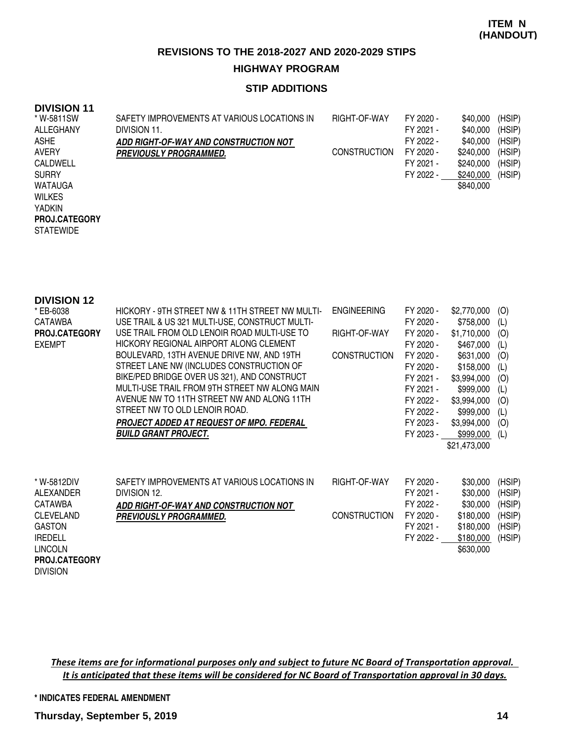### **STIP ADDITIONS**

### **DIVISION 11**

| * W-5811SW           | SAFETY IMPROVEMENTS AT VARIOUS LOCATIONS IN | RIGHT-OF-WAY        | FY 2020 - | \$40,000  | (HSIP) |
|----------------------|---------------------------------------------|---------------------|-----------|-----------|--------|
| ALLEGHANY            | DIVISION 11.                                |                     | FY 2021 - | \$40,000  | (HSIP) |
| <b>ASHE</b>          | ADD RIGHT-OF-WAY AND CONSTRUCTION NOT       |                     | FY 2022 - | \$40,000  | (HSIP) |
| <b>AVERY</b>         | <i><b>PREVIOUSLY PROGRAMMED.</b></i>        | <b>CONSTRUCTION</b> | FY 2020 - | \$240,000 | (HSIP) |
| CALDWELL             |                                             |                     | FY 2021 - | \$240,000 | (HSIP) |
| <b>SURRY</b>         |                                             |                     | FY 2022 - | \$240,000 | (HSIP) |
| <b>WATAUGA</b>       |                                             |                     |           | \$840,000 |        |
| <b>WILKES</b>        |                                             |                     |           |           |        |
| <b>YADKIN</b>        |                                             |                     |           |           |        |
| <b>PROJ.CATEGORY</b> |                                             |                     |           |           |        |
| <b>STATEWIDE</b>     |                                             |                     |           |           |        |

| <b>DIVISION 12</b>   |                                                 |                     |           |              |        |
|----------------------|-------------------------------------------------|---------------------|-----------|--------------|--------|
| * EB-6038            | HICKORY - 9TH STREET NW & 11TH STREET NW MULTI- | <b>ENGINEERING</b>  | FY 2020 - | \$2,770,000  | (O)    |
| CATAWBA              | USE TRAIL & US 321 MULTI-USE, CONSTRUCT MULTI-  |                     | FY 2020 - | \$758,000    | (L)    |
| PROJ.CATEGORY        | USE TRAIL FROM OLD LENOIR ROAD MULTI-USE TO     | RIGHT-OF-WAY        | FY 2020 - | \$1,710,000  | (O)    |
| <b>EXEMPT</b>        | HICKORY REGIONAL AIRPORT ALONG CLEMENT          |                     | FY 2020 - | \$467,000    | (L)    |
|                      | BOULEVARD, 13TH AVENUE DRIVE NW, AND 19TH       | <b>CONSTRUCTION</b> | FY 2020 - | \$631,000    | (O)    |
|                      | STREET LANE NW (INCLUDES CONSTRUCTION OF        |                     | FY 2020 - | \$158,000    | (L)    |
|                      | BIKE/PED BRIDGE OVER US 321), AND CONSTRUCT     |                     | FY 2021 - | \$3,994,000  | (O)    |
|                      | MULTI-USE TRAIL FROM 9TH STREET NW ALONG MAIN   |                     | FY 2021 - | \$999,000    | (L)    |
|                      | AVENUE NW TO 11TH STREET NW AND ALONG 11TH      |                     | FY 2022 - | \$3,994,000  | (O)    |
|                      | STREET NW TO OLD LENOIR ROAD.                   |                     | FY 2022 - | \$999,000    | (L)    |
|                      | PROJECT ADDED AT REQUEST OF MPO. FEDERAL        |                     | FY 2023 - | \$3,994,000  | (O)    |
|                      | <b>BUILD GRANT PROJECT.</b>                     |                     | FY 2023 - | \$999,000    | (L)    |
|                      |                                                 |                     |           | \$21,473,000 |        |
|                      |                                                 |                     |           |              |        |
| * W-5812DIV          | SAFETY IMPROVEMENTS AT VARIOUS LOCATIONS IN     | RIGHT-OF-WAY        | FY 2020 - | \$30,000     | (HSIP) |
| ALEXANDER            | DIVISION 12.                                    |                     | FY 2021 - | \$30,000     | (HSIP) |
| <b>CATAWBA</b>       | ADD RIGHT-OF-WAY AND CONSTRUCTION NOT           |                     | FY 2022 - | \$30,000     | (HSIP) |
| <b>CLEVELAND</b>     | <b>PREVIOUSLY PROGRAMMED.</b>                   | <b>CONSTRUCTION</b> | FY 2020 - | \$180,000    | (HSIP) |
| <b>GASTON</b>        |                                                 |                     | FY 2021 - | \$180,000    | (HSIP) |
| <b>IREDELL</b>       |                                                 |                     | FY 2022 - | \$180,000    | (HSIP) |
| <b>LINCOLN</b>       |                                                 |                     |           | \$630,000    |        |
| <b>PROJ.CATEGORY</b> |                                                 |                     |           |              |        |
| <b>DIVISION</b>      |                                                 |                     |           |              |        |

These items are for informational purposes only and subject to future NC Board of Transportation approval. It is anticipated that these items will be considered for NC Board of Transportation approval in 30 days.

#### **\* INDICATES FEDERAL AMENDMENT**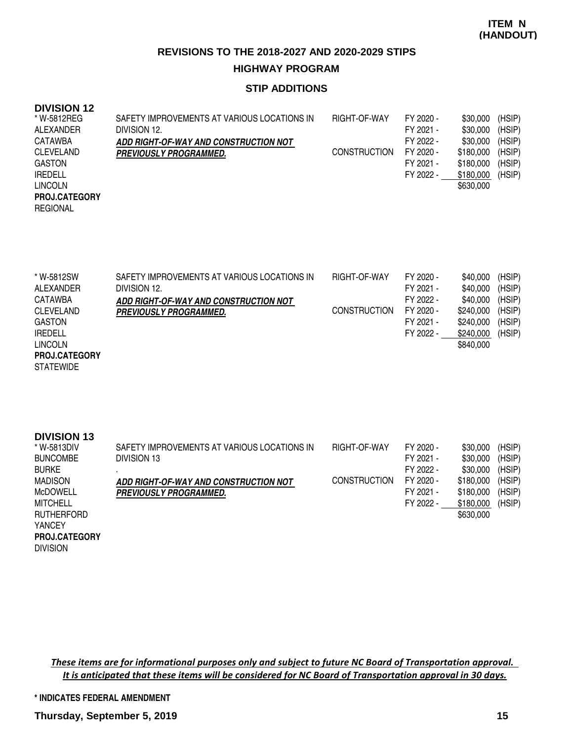#### **STIP ADDITIONS**

### **DIVISION 12**

| * W-5812REG          | SAFETY IMPROVEMENTS AT VARIOUS LOCATIONS IN | RIGHT-OF-WAY        | FY 2020 - | \$30,000  | (HSIP) |
|----------------------|---------------------------------------------|---------------------|-----------|-----------|--------|
| ALEXANDER            | DIVISION 12.                                |                     | FY 2021 - | \$30,000  | (HSIP) |
| CATAWBA              | ADD RIGHT-OF-WAY AND CONSTRUCTION NOT       |                     | FY 2022 - | \$30,000  | (HSIP) |
| <b>CLEVELAND</b>     | <b>PREVIOUSLY PROGRAMMED.</b>               | <b>CONSTRUCTION</b> | FY 2020 - | \$180,000 | (HSIP) |
| GASTON               |                                             |                     | FY 2021 - | \$180,000 | (HSIP) |
| <b>IREDELL</b>       |                                             |                     | FY 2022 - | \$180,000 | (HSIP) |
| <b>LINCOLN</b>       |                                             |                     |           | \$630,000 |        |
| <b>PROJ.CATEGORY</b> |                                             |                     |           |           |        |
| REGIONAL             |                                             |                     |           |           |        |
|                      |                                             |                     |           |           |        |

| * W-5812SW           | SAFETY IMPROVEMENTS AT VARIOUS LOCATIONS IN | <b>RIGHT-OF-WAY</b> | FY 2020 - | \$40,000  | (HSIP) |
|----------------------|---------------------------------------------|---------------------|-----------|-----------|--------|
| ALEXANDER            | DIVISION 12.                                |                     | FY 2021 - | \$40,000  | (HSIP) |
| CATAWBA              | ADD RIGHT-OF-WAY AND CONSTRUCTION NOT       |                     | FY 2022 - | \$40,000  | (HSIP) |
| <b>CLEVELAND</b>     | <i><b>PREVIOUSLY PROGRAMMED.</b></i>        | <b>CONSTRUCTION</b> | FY 2020 - | \$240,000 | (HSIP) |
| <b>GASTON</b>        |                                             |                     | FY 2021 - | \$240,000 | (HSIP) |
| <b>IREDELL</b>       |                                             |                     | FY 2022 - | \$240,000 | (HSIP) |
| <b>LINCOLN</b>       |                                             |                     |           | \$840,000 |        |
| <b>PROJ.CATEGORY</b> |                                             |                     |           |           |        |

**STATEWIDE** 

| <b>DIVISION 13</b>   |                                             |                     |           |           |        |
|----------------------|---------------------------------------------|---------------------|-----------|-----------|--------|
| * W-5813DIV          | SAFETY IMPROVEMENTS AT VARIOUS LOCATIONS IN | RIGHT-OF-WAY        | FY 2020 - | \$30,000  | (HSIP) |
| <b>BUNCOMBE</b>      | DIVISION 13                                 |                     | FY 2021 - | \$30,000  | (HSIP) |
| <b>BURKE</b>         |                                             |                     | FY 2022 - | \$30,000  | (HSIP) |
| <b>MADISON</b>       | ADD RIGHT-OF-WAY AND CONSTRUCTION NOT       | <b>CONSTRUCTION</b> | FY 2020 - | \$180,000 | (HSIP) |
| McDOWELL             | <b>PREVIOUSLY PROGRAMMED.</b>               |                     | FY 2021 - | \$180,000 | (HSIP) |
| <b>MITCHELL</b>      |                                             |                     | FY 2022 - | \$180,000 | (HSIP) |
| <b>RUTHERFORD</b>    |                                             |                     |           | \$630,000 |        |
| <b>YANCEY</b>        |                                             |                     |           |           |        |
| <b>PROJ.CATEGORY</b> |                                             |                     |           |           |        |
| <b>DIVISION</b>      |                                             |                     |           |           |        |

These items are for informational purposes only and subject to future NC Board of Transportation approval. It is anticipated that these items will be considered for NC Board of Transportation approval in 30 days.

#### **\* INDICATES FEDERAL AMENDMENT**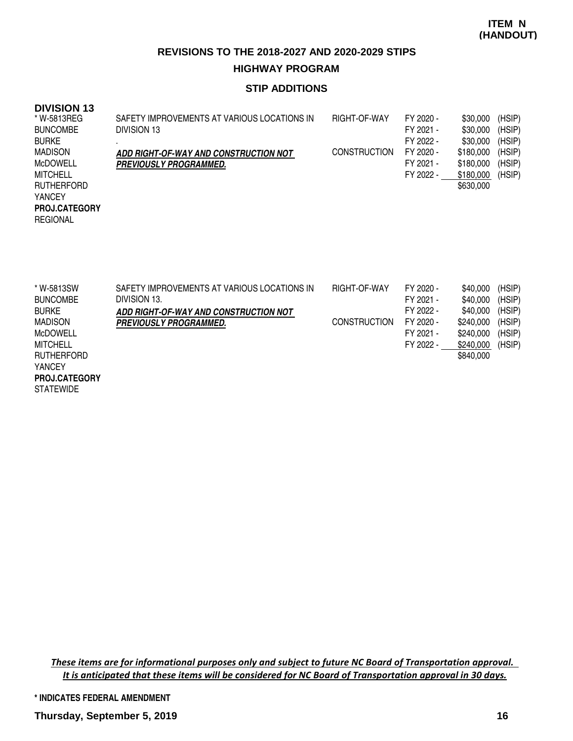## **STIP ADDITIONS**

## **DIVISION 13**

| * W-5813REG          | SAFETY IMPROVEMENTS AT VARIOUS LOCATIONS IN | RIGHT-OF-WAY        | FY 2020 - | \$30,000  | (HSIP) |
|----------------------|---------------------------------------------|---------------------|-----------|-----------|--------|
| <b>BUNCOMBE</b>      | DIVISION 13                                 |                     | FY 2021 - | \$30,000  | (HSIP) |
| <b>BURKE</b>         |                                             |                     | FY 2022 - | \$30,000  | (HSIP) |
| <b>MADISON</b>       | ADD RIGHT-OF-WAY AND CONSTRUCTION NOT       | <b>CONSTRUCTION</b> | FY 2020 - | \$180,000 | (HSIP) |
| <b>MCDOWELL</b>      | <i><b>PREVIOUSLY PROGRAMMED.</b></i>        |                     | FY 2021 - | \$180,000 | (HSIP) |
| <b>MITCHELL</b>      |                                             |                     | FY 2022 - | \$180,000 | (HSIP) |
| <b>RUTHERFORD</b>    |                                             |                     |           | \$630,000 |        |
| <b>YANCEY</b>        |                                             |                     |           |           |        |
| <b>PROJ.CATEGORY</b> |                                             |                     |           |           |        |
| <b>REGIONAL</b>      |                                             |                     |           |           |        |
|                      |                                             |                     |           |           |        |
|                      |                                             |                     |           |           |        |

| * W-5813SW        | SAFETY IMPROVEMENTS AT VARIOUS LOCATIONS IN | RIGHT-OF-WAY        | FY 2020 - | \$40,000  | (HSIP) |
|-------------------|---------------------------------------------|---------------------|-----------|-----------|--------|
| <b>BUNCOMBE</b>   | DIVISION 13.                                |                     | FY 2021 - | \$40,000  | (HSIP) |
| <b>BURKE</b>      | ADD RIGHT-OF-WAY AND CONSTRUCTION NOT       |                     | FY 2022 - | \$40,000  | (HSIP) |
| <b>MADISON</b>    | <b>PREVIOUSLY PROGRAMMED.</b>               | <b>CONSTRUCTION</b> | FY 2020 - | \$240.000 | (HSIP) |
| <b>McDOWELL</b>   |                                             |                     | FY 2021 - | \$240,000 | (HSIP) |
| MITCHELL          |                                             |                     | FY 2022 - | \$240,000 | (HSIP) |
| <b>RUTHERFORD</b> |                                             |                     |           | \$840.000 |        |
| <b>YANCEY</b>     |                                             |                     |           |           |        |

STATEWIDE **PROJ.CATEGORY**

> These items are for informational purposes only and subject to future NC Board of Transportation approval. It is anticipated that these items will be considered for NC Board of Transportation approval in 30 days.

**\* INDICATES FEDERAL AMENDMENT**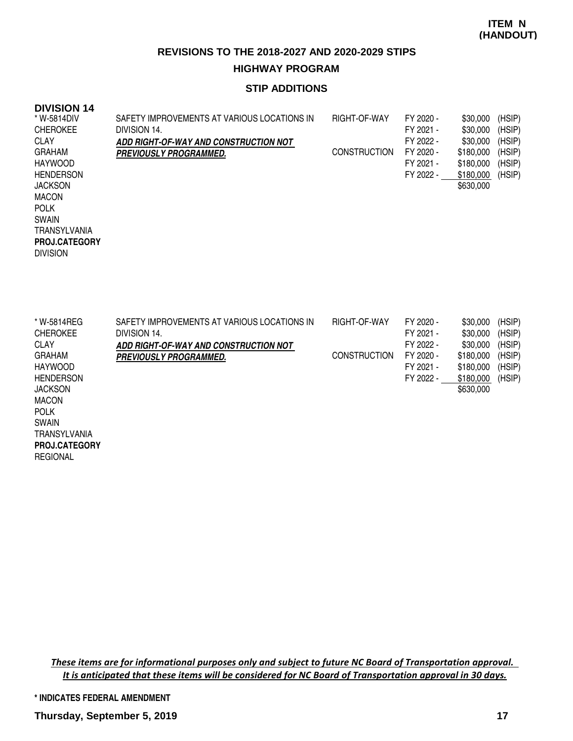### **STIP ADDITIONS**

#### **DIVISION 14**

REGIONAL

| * W-5814DIV          | SAFETY IMPROVEMENTS AT VARIOUS LOCATIONS IN | RIGHT-OF-WAY        | FY 2020 - | \$30,000  | (HSIP) |
|----------------------|---------------------------------------------|---------------------|-----------|-----------|--------|
| <b>CHEROKEE</b>      | DIVISION 14.                                |                     | FY 2021 - | \$30,000  | (HSIP) |
| <b>CLAY</b>          | ADD RIGHT-OF-WAY AND CONSTRUCTION NOT       |                     | FY 2022 - | \$30,000  | (HSIP) |
| <b>GRAHAM</b>        | <i><b>PREVIOUSLY PROGRAMMED.</b></i>        | <b>CONSTRUCTION</b> | FY 2020 - | \$180,000 | (HSIP) |
| <b>HAYWOOD</b>       |                                             |                     | FY 2021 - | \$180,000 | (HSIP) |
| <b>HENDERSON</b>     |                                             |                     | FY 2022 - | \$180,000 | (HSIP) |
| <b>JACKSON</b>       |                                             |                     |           | \$630,000 |        |
| <b>MACON</b>         |                                             |                     |           |           |        |
| <b>POLK</b>          |                                             |                     |           |           |        |
| SWAIN                |                                             |                     |           |           |        |
| TRANSYLVANIA         |                                             |                     |           |           |        |
| <b>PROJ.CATEGORY</b> |                                             |                     |           |           |        |
| <b>DIVISION</b>      |                                             |                     |           |           |        |
|                      |                                             |                     |           |           |        |

| * W-5814REG          | SAFETY IMPROVEMENTS AT VARIOUS LOCATIONS IN | RIGHT-OF-WAY        | FY 2020 - | \$30,000  | (HSIP) |
|----------------------|---------------------------------------------|---------------------|-----------|-----------|--------|
| <b>CHEROKEE</b>      | DIVISION 14.                                |                     | FY 2021 - | \$30,000  | (HSIP) |
| <b>CLAY</b>          | ADD RIGHT-OF-WAY AND CONSTRUCTION NOT       |                     | FY 2022 - | \$30,000  | (HSIP) |
| <b>GRAHAM</b>        | <i><b>PREVIOUSLY PROGRAMMED.</b></i>        | <b>CONSTRUCTION</b> | FY 2020 - | \$180,000 | (HSIP) |
| <b>HAYWOOD</b>       |                                             |                     | FY 2021 - | \$180,000 | (HSIP) |
| <b>HENDERSON</b>     |                                             |                     | FY 2022 - | \$180,000 | (HSIP) |
| <b>JACKSON</b>       |                                             |                     |           | \$630,000 |        |
| <b>MACON</b>         |                                             |                     |           |           |        |
| <b>POLK</b>          |                                             |                     |           |           |        |
| <b>SWAIN</b>         |                                             |                     |           |           |        |
| <b>TRANSYLVANIA</b>  |                                             |                     |           |           |        |
| <b>PROJ.CATEGORY</b> |                                             |                     |           |           |        |

These items are for informational purposes only and subject to future NC Board of Transportation approval. It is anticipated that these items will be considered for NC Board of Transportation approval in 30 days.

**\* INDICATES FEDERAL AMENDMENT**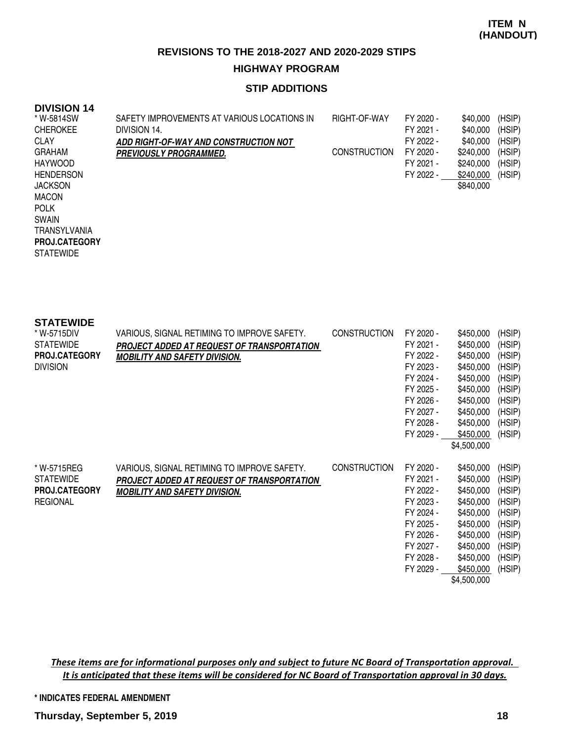### **STIP ADDITIONS**

#### **DIVISION 14**

| * W-5814SW       | SAFETY IMPROVEMENTS AT VARIOUS LOCATIONS IN | RIGHT-OF-WAY        | FY 2020 - | \$40,000  | (HSIP) |
|------------------|---------------------------------------------|---------------------|-----------|-----------|--------|
| <b>CHEROKEE</b>  | DIVISION 14.                                |                     | FY 2021 - | \$40,000  | (HSIP) |
| <b>CLAY</b>      | ADD RIGHT-OF-WAY AND CONSTRUCTION NOT       |                     | FY 2022 - | \$40,000  | (HSIP) |
| <b>GRAHAM</b>    | <b>PREVIOUSLY PROGRAMMED.</b>               | <b>CONSTRUCTION</b> | FY 2020 - | \$240,000 | (HSIP) |
| <b>HAYWOOD</b>   |                                             |                     | FY 2021 - | \$240,000 | (HSIP) |
| <b>HENDERSON</b> |                                             |                     | FY 2022 - | \$240,000 | (HSIP) |
| <b>JACKSON</b>   |                                             |                     |           | \$840,000 |        |
| <b>MACON</b>     |                                             |                     |           |           |        |
| <b>POLK</b>      |                                             |                     |           |           |        |
| <b>SWAIN</b>     |                                             |                     |           |           |        |

TRANSYLVANIA

**STATEWIDE PROJ.CATEGORY**

| <b>STATEWIDE</b><br>* W-5715DIV<br><b>STATEWIDE</b><br><b>PROJ.CATEGORY</b><br><b>DIVISION</b> | VARIOUS, SIGNAL RETIMING TO IMPROVE SAFETY.<br>PROJECT ADDED AT REQUEST OF TRANSPORTATION<br><b>MOBILITY AND SAFETY DIVISION.</b> | <b>CONSTRUCTION</b> | FY 2020 -<br>FY 2021 -<br>FY 2022 -<br>FY 2023 -<br>FY 2024 -<br>FY 2025 -<br>FY 2026 -<br>FY 2027 -<br>FY 2028 -<br>FY 2029 - | \$450,000<br>\$450,000<br>\$450,000<br>\$450,000<br>\$450,000<br>\$450,000<br>\$450,000<br>\$450,000<br>\$450,000<br>\$450,000<br>\$4,500,000 | (HSIP)<br>(HSIP)<br>(HSIP)<br>(HSIP)<br>(HSIP)<br>(HSIP)<br>(HSIP)<br>(HSIP)<br>(HSIP)<br>(HSIP) |
|------------------------------------------------------------------------------------------------|-----------------------------------------------------------------------------------------------------------------------------------|---------------------|--------------------------------------------------------------------------------------------------------------------------------|-----------------------------------------------------------------------------------------------------------------------------------------------|--------------------------------------------------------------------------------------------------|
| * W-5715REG<br><b>STATEWIDE</b><br><b>PROJ.CATEGORY</b><br><b>REGIONAL</b>                     | VARIOUS, SIGNAL RETIMING TO IMPROVE SAFETY.<br>PROJECT ADDED AT REQUEST OF TRANSPORTATION<br><b>MOBILITY AND SAFETY DIVISION.</b> | <b>CONSTRUCTION</b> | FY 2020 -<br>FY 2021 -<br>FY 2022 -<br>FY 2023 -<br>FY 2024 -<br>FY 2025 -<br>FY 2026 -<br>FY 2027 -<br>FY 2028 -<br>FY 2029 - | \$450,000<br>\$450,000<br>\$450,000<br>\$450,000<br>\$450,000<br>\$450,000<br>\$450,000<br>\$450,000<br>\$450,000<br>\$450,000<br>\$4,500,000 | (HSIP)<br>(HSIP)<br>(HSIP)<br>(HSIP)<br>(HSIP)<br>(HSIP)<br>(HSIP)<br>(HSIP)<br>(HSIP)<br>(HSIP) |

These items are for informational purposes only and subject to future NC Board of Transportation approval. It is anticipated that these items will be considered for NC Board of Transportation approval in 30 days.

#### **\* INDICATES FEDERAL AMENDMENT**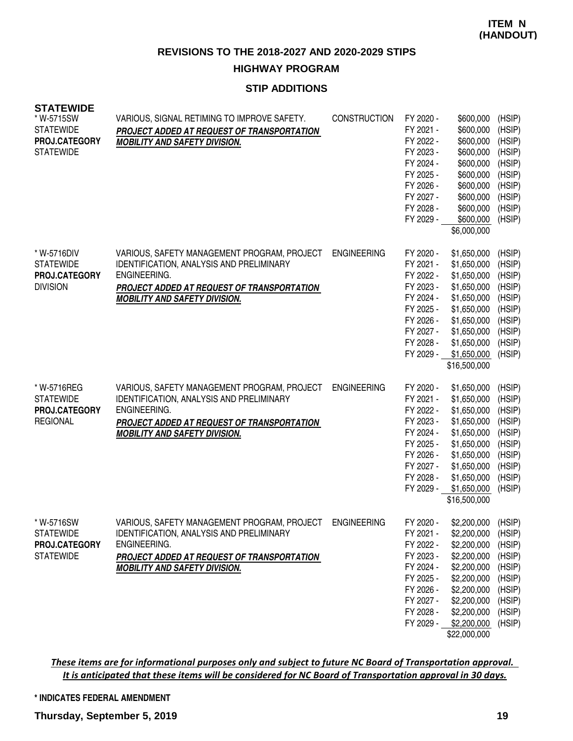#### **STIP ADDITIONS**

| <b>SIAIEWIDE</b><br>* W-5715SW<br><b>STATEWIDE</b><br>PROJ.CATEGORY<br><b>STATEWIDE</b> | VARIOUS, SIGNAL RETIMING TO IMPROVE SAFETY.<br>PROJECT ADDED AT REQUEST OF TRANSPORTATION<br><b>MOBILITY AND SAFETY DIVISION.</b>                                                                    | <b>CONSTRUCTION</b> | FY 2020 -<br>FY 2021 -<br>FY 2022 -<br>FY 2023 -<br>FY 2024 -<br>FY 2025 -<br>FY 2026 -<br>FY 2027 -<br>FY 2028 -<br>FY 2029 - | \$600,000<br>\$600,000<br>\$600,000<br>\$600,000<br>\$600,000<br>\$600,000<br>\$600,000<br>\$600,000<br>\$600,000<br>\$600,000<br>\$6,000,000                      | (HSIP)<br>(HSIP)<br>(HSIP)<br>(HSIP)<br>(HSIP)<br>(HSIP)<br>(HSIP)<br>(HSIP)<br>(HSIP)<br>(HSIP) |
|-----------------------------------------------------------------------------------------|------------------------------------------------------------------------------------------------------------------------------------------------------------------------------------------------------|---------------------|--------------------------------------------------------------------------------------------------------------------------------|--------------------------------------------------------------------------------------------------------------------------------------------------------------------|--------------------------------------------------------------------------------------------------|
| * W-5716DIV<br><b>STATEWIDE</b><br>PROJ.CATEGORY<br><b>DIVISION</b>                     | VARIOUS, SAFETY MANAGEMENT PROGRAM, PROJECT<br>IDENTIFICATION, ANALYSIS AND PRELIMINARY<br>ENGINEERING.<br>PROJECT ADDED AT REQUEST OF TRANSPORTATION<br><b>MOBILITY AND SAFETY DIVISION.</b>        | <b>ENGINEERING</b>  | FY 2020 -<br>FY 2021 -<br>FY 2022 -<br>FY 2023 -<br>FY 2024 -<br>FY 2025 -<br>FY 2026 -<br>FY 2027 -<br>FY 2028 -<br>FY 2029 - | \$1,650,000<br>\$1,650,000<br>\$1,650,000<br>\$1,650,000<br>\$1,650,000<br>\$1,650,000<br>\$1,650,000<br>\$1,650,000<br>\$1,650,000<br>\$1,650,000<br>\$16,500,000 | (HSIP)<br>(HSIP)<br>(HSIP)<br>(HSIP)<br>(HSIP)<br>(HSIP)<br>(HSIP)<br>(HSIP)<br>(HSIP)<br>(HSIP) |
| * W-5716REG<br><b>STATEWIDE</b><br>PROJ.CATEGORY<br><b>REGIONAL</b>                     | VARIOUS, SAFETY MANAGEMENT PROGRAM, PROJECT<br>IDENTIFICATION, ANALYSIS AND PRELIMINARY<br>ENGINEERING.<br>PROJECT ADDED AT REQUEST OF TRANSPORTATION<br><b>MOBILITY AND SAFETY DIVISION.</b>        | <b>ENGINEERING</b>  | FY 2020 -<br>FY 2021 -<br>FY 2022 -<br>FY 2023 -<br>FY 2024 -<br>FY 2025 -<br>FY 2026 -<br>FY 2027 -<br>FY 2028 -<br>FY 2029 - | \$1,650,000<br>\$1,650,000<br>\$1,650,000<br>\$1,650,000<br>\$1,650,000<br>\$1,650,000<br>\$1,650,000<br>\$1,650,000<br>\$1,650,000<br>\$1,650,000<br>\$16,500,000 | (HSIP)<br>(HSIP)<br>(HSIP)<br>(HSIP)<br>(HSIP)<br>(HSIP)<br>(HSIP)<br>(HSIP)<br>(HSIP)<br>(HSIP) |
| * W-5716SW<br><b>STATEWIDE</b><br>PROJ.CATEGORY<br><b>STATEWIDE</b>                     | VARIOUS, SAFETY MANAGEMENT PROGRAM, PROJECT<br><b>IDENTIFICATION, ANALYSIS AND PRELIMINARY</b><br>ENGINEERING.<br>PROJECT ADDED AT REQUEST OF TRANSPORTATION<br><b>MOBILITY AND SAFETY DIVISION.</b> | <b>ENGINEERING</b>  | FY 2020 -<br>FY 2021 -<br>FY 2022 -<br>FY 2023 -<br>FY 2024 -<br>FY 2025 -<br>FY 2026 -<br>FY 2027 -<br>FY 2028 -<br>FY 2029 - | \$2,200,000<br>\$2,200,000<br>\$2,200,000<br>\$2,200,000<br>\$2,200,000<br>\$2,200,000<br>\$2,200,000<br>\$2,200,000<br>\$2,200,000<br>\$2,200,000<br>\$22,000,000 | (HSIP)<br>(HSIP)<br>(HSIP)<br>(HSIP)<br>(HSIP)<br>(HSIP)<br>(HSIP)<br>(HSIP)<br>(HSIP)<br>(HSIP) |

#### These items are for informational purposes only and subject to future NC Board of Transportation approval. It is anticipated that these items will be considered for NC Board of Transportation approval in 30 days.

#### **\* INDICATES FEDERAL AMENDMENT**

**STATEWIDE**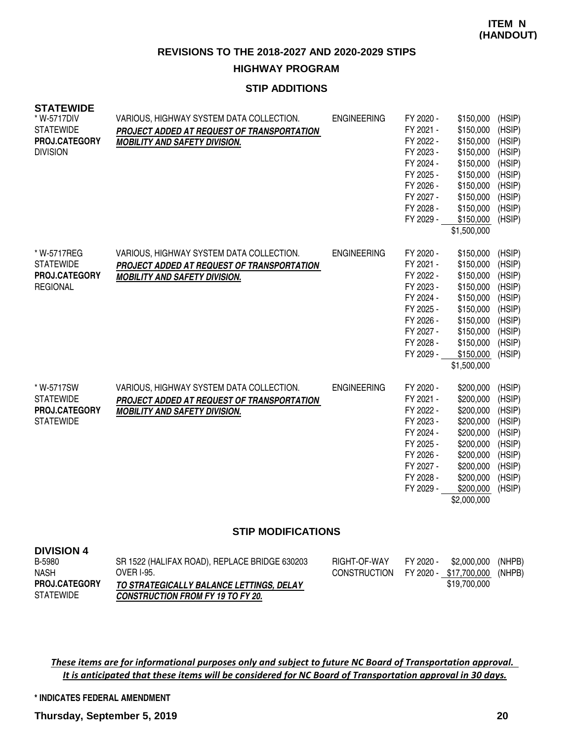#### **STIP ADDITIONS**

| <b>STATEWIDE</b><br>* W-5717DIV<br><b>STATEWIDE</b><br>PROJ.CATEGORY<br><b>DIVISION</b> | VARIOUS, HIGHWAY SYSTEM DATA COLLECTION.<br>PROJECT ADDED AT REQUEST OF TRANSPORTATION<br><b>MOBILITY AND SAFETY DIVISION.</b> | <b>ENGINEERING</b> | FY 2020 -<br>FY 2021 -<br>FY 2022 -<br>FY 2023 -<br>FY 2024 -<br>FY 2025 -<br>FY 2026 -<br>FY 2027 -<br>FY 2028 -<br>FY 2029 - | \$150,000<br>\$150,000<br>\$150,000<br>\$150,000<br>\$150,000<br>\$150,000<br>\$150,000<br>\$150,000<br>\$150,000<br>\$150,000<br>\$1,500,000 | (HSIP)<br>(HSIP)<br>(HSIP)<br>(HSIP)<br>(HSIP)<br>(HSIP)<br>(HSIP)<br>(HSIP)<br>(HSIP)<br>(HSIP) |
|-----------------------------------------------------------------------------------------|--------------------------------------------------------------------------------------------------------------------------------|--------------------|--------------------------------------------------------------------------------------------------------------------------------|-----------------------------------------------------------------------------------------------------------------------------------------------|--------------------------------------------------------------------------------------------------|
| * W-5717REG<br><b>STATEWIDE</b><br>PROJ.CATEGORY<br><b>REGIONAL</b>                     | VARIOUS, HIGHWAY SYSTEM DATA COLLECTION.<br>PROJECT ADDED AT REQUEST OF TRANSPORTATION<br><b>MOBILITY AND SAFETY DIVISION.</b> | <b>ENGINEERING</b> | FY 2020 -<br>FY 2021 -<br>FY 2022 -<br>FY 2023 -<br>FY 2024 -<br>FY 2025 -<br>FY 2026 -<br>FY 2027 -<br>FY 2028 -<br>FY 2029 - | \$150,000<br>\$150,000<br>\$150,000<br>\$150,000<br>\$150,000<br>\$150,000<br>\$150,000<br>\$150,000<br>\$150,000<br>\$150,000<br>\$1,500,000 | (HSIP)<br>(HSIP)<br>(HSIP)<br>(HSIP)<br>(HSIP)<br>(HSIP)<br>(HSIP)<br>(HSIP)<br>(HSIP)<br>(HSIP) |
| * W-5717SW<br><b>STATEWIDE</b><br>PROJ.CATEGORY<br><b>STATEWIDE</b>                     | VARIOUS, HIGHWAY SYSTEM DATA COLLECTION.<br>PROJECT ADDED AT REQUEST OF TRANSPORTATION<br><b>MOBILITY AND SAFETY DIVISION.</b> | <b>ENGINEERING</b> | FY 2020 -<br>FY 2021 -<br>FY 2022 -<br>FY 2023 -<br>FY 2024 -<br>FY 2025 -<br>FY 2026 -<br>FY 2027 -<br>FY 2028 -<br>FY 2029 - | \$200,000<br>\$200,000<br>\$200,000<br>\$200,000<br>\$200,000<br>\$200,000<br>\$200,000<br>\$200,000<br>\$200,000<br>\$200,000<br>\$2,000,000 | (HSIP)<br>(HSIP)<br>(HSIP)<br>(HSIP)<br>(HSIP)<br>(HSIP)<br>(HSIP)<br>(HSIP)<br>(HSIP)<br>(HSIP) |

#### **STIP MODIFICATIONS**

| <b>DIVISION 4</b>    |                                               |                                     |           |              |        |
|----------------------|-----------------------------------------------|-------------------------------------|-----------|--------------|--------|
| B-5980               | SR 1522 (HALIFAX ROAD), REPLACE BRIDGE 630203 | RIGHT-OF-WAY                        | FY 2020 - | \$2.000.000  | (NHPB) |
| <b>NASH</b>          | OVER 1-95.                                    | CONSTRUCTION FY 2020 - \$17,700,000 |           |              | (NHPB) |
| <b>PROJ.CATEGORY</b> | TO STRATEGICALLY BALANCE LETTINGS, DELAY      |                                     |           | \$19,700,000 |        |
| <b>STATEWIDE</b>     | <b>CONSTRUCTION FROM FY 19 TO FY 20.</b>      |                                     |           |              |        |

These items are for informational purposes only and subject to future NC Board of Transportation approval. It is anticipated that these items will be considered for NC Board of Transportation approval in 30 days.

**\* INDICATES FEDERAL AMENDMENT**

**DIVISION 4**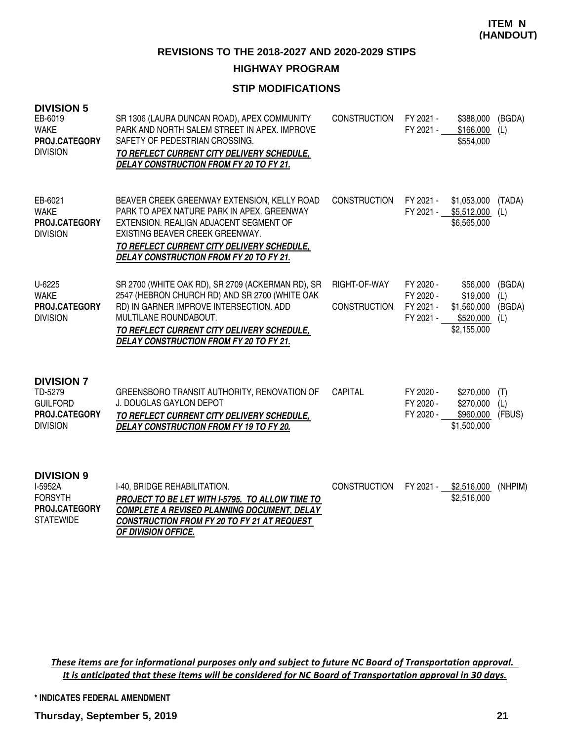#### **HIGHWAY PROGRAM**

## **STIP MODIFICATIONS**

| <b>DIVISION 5</b><br>EB-6019<br><b>WAKE</b><br>PROJ.CATEGORY<br><b>DIVISION</b>     | SR 1306 (LAURA DUNCAN ROAD), APEX COMMUNITY<br>PARK AND NORTH SALEM STREET IN APEX. IMPROVE<br>SAFETY OF PEDESTRIAN CROSSING.<br>TO REFLECT CURRENT CITY DELIVERY SCHEDULE,<br><b>DELAY CONSTRUCTION FROM FY 20 TO FY 21.</b>                                    | CONSTRUCTION                        | FY 2021 -<br>FY 2021 -                           | \$388,000<br>\$166,000<br>\$554,000                                         | (BGDA)<br>(L)        |
|-------------------------------------------------------------------------------------|------------------------------------------------------------------------------------------------------------------------------------------------------------------------------------------------------------------------------------------------------------------|-------------------------------------|--------------------------------------------------|-----------------------------------------------------------------------------|----------------------|
| EB-6021<br><b>WAKE</b><br>PROJ.CATEGORY<br><b>DIVISION</b>                          | BEAVER CREEK GREENWAY EXTENSION, KELLY ROAD<br>PARK TO APEX NATURE PARK IN APEX. GREENWAY<br>EXTENSION. REALIGN ADJACENT SEGMENT OF<br>EXISTING BEAVER CREEK GREENWAY.<br>TO REFLECT CURRENT CITY DELIVERY SCHEDULE,<br>DELAY CONSTRUCTION FROM FY 20 TO FY 21.  | CONSTRUCTION                        | FY 2021 -                                        | \$1,053,000<br>FY 2021 - \$5,512,000<br>\$6,565,000                         | (TADA)<br>(L)        |
| $U-6225$<br><b>WAKE</b><br>PROJ.CATEGORY<br><b>DIVISION</b>                         | SR 2700 (WHITE OAK RD), SR 2709 (ACKERMAN RD), SR<br>2547 (HEBRON CHURCH RD) AND SR 2700 (WHITE OAK<br>RD) IN GARNER IMPROVE INTERSECTION. ADD<br>MULTILANE ROUNDABOUT.<br>TO REFLECT CURRENT CITY DELIVERY SCHEDULE,<br>DELAY CONSTRUCTION FROM FY 20 TO FY 21. | RIGHT-OF-WAY<br><b>CONSTRUCTION</b> | FY 2020 -<br>FY 2020 -<br>FY 2021 -<br>FY 2021 - | \$56,000<br>\$19,000<br>\$1,560,000 (BGDA)<br>$$520,000$ (L)<br>\$2,155,000 | (BGDA)<br>(L)        |
| <b>DIVISION 7</b><br>TD-5279<br><b>GUILFORD</b><br>PROJ.CATEGORY<br><b>DIVISION</b> | GREENSBORO TRANSIT AUTHORITY, RENOVATION OF<br><b>J. DOUGLAS GAYLON DEPOT</b><br>TO REFLECT CURRENT CITY DELIVERY SCHEDULE,<br>DELAY CONSTRUCTION FROM FY 19 TO FY 20.                                                                                           | <b>CAPITAL</b>                      | FY 2020 -<br>FY 2020 -<br>FY 2020 -              | \$270,000<br>\$270,000<br>\$960,000<br>\$1,500,000                          | (T)<br>(L)<br>(FBUS) |
| <b>DIVISION 9</b><br>I-5952A<br><b>FORSYTH</b><br>PROJ.CATEGORY<br><b>STATEWIDE</b> | I-40, BRIDGE REHABILITATION.<br>PROJECT TO BE LET WITH I-5795. TO ALLOW TIME TO<br><b>COMPLETE A REVISED PLANNING DOCUMENT, DELAY</b><br>CONSTRUCTION FROM FY 20 TO FY 21 AT REQUEST<br>OF DIVISION OFFICE.                                                      | <b>CONSTRUCTION</b>                 | FY 2021 -                                        | \$2,516,000<br>\$2,516,000                                                  | (NHPIM)              |

These items are for informational purposes only and subject to future NC Board of Transportation approval. It is anticipated that these items will be considered for NC Board of Transportation approval in 30 days.

**\* INDICATES FEDERAL AMENDMENT**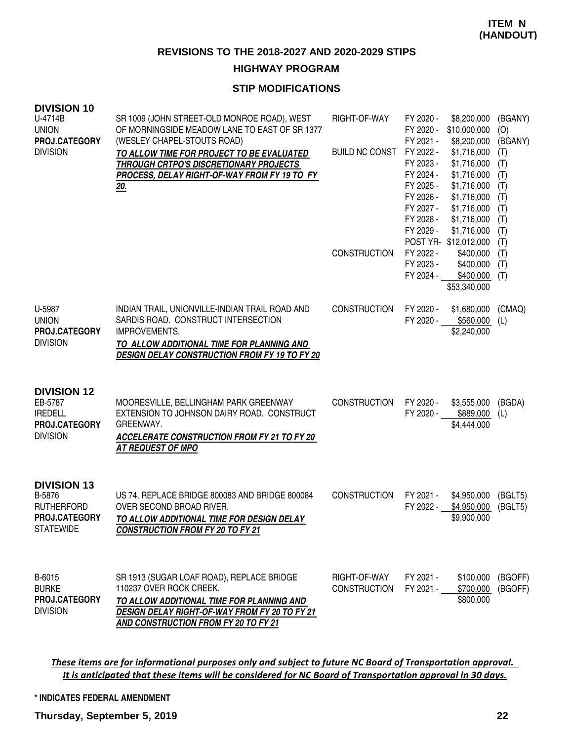#### **HIGHWAY PROGRAM**

## **STIP MODIFICATIONS**

| <b>DIVISION 10</b><br>U-4714B<br><b>UNION</b><br>PROJ.CATEGORY<br><b>DIVISION</b>      | SR 1009 (JOHN STREET-OLD MONROE ROAD), WEST<br>OF MORNINGSIDE MEADOW LANE TO EAST OF SR 1377<br>(WESLEY CHAPEL-STOUTS ROAD)<br>TO ALLOW TIME FOR PROJECT TO BE EVALUATED<br>THROUGH CRTPO'S DISCRETIONARY PROJECTS<br>PROCESS, DELAY RIGHT-OF-WAY FROM FY 19 TO FY<br><u> 20.</u> | RIGHT-OF-WAY<br><b>BUILD NC CONST</b><br><b>CONSTRUCTION</b> | FY 2020 -<br>FY 2020 -<br>FY 2021 -<br>FY 2022 -<br>FY 2023 -<br>FY 2024 -<br>FY 2025 -<br>FY 2026 -<br>FY 2027 -<br>FY 2028 -<br>FY 2029 -<br>FY 2022 -<br>FY 2023 -<br>FY 2024 - | \$8,200,000<br>\$10,000,000<br>\$8,200,000<br>\$1,716,000<br>\$1,716,000<br>\$1,716,000<br>\$1,716,000<br>\$1,716,000<br>\$1,716,000<br>\$1,716,000<br>\$1,716,000<br>POST YR-\$12,012,000<br>\$400,000<br>\$400,000<br>\$400,000<br>\$53,340,000 | (BGANY)<br>(O)<br>(BGANY)<br>(T)<br>(T)<br>(T)<br>(T)<br>(T)<br>(T)<br>(T)<br>(T)<br>(T)<br>(T)<br>(T)<br>(T) |
|----------------------------------------------------------------------------------------|-----------------------------------------------------------------------------------------------------------------------------------------------------------------------------------------------------------------------------------------------------------------------------------|--------------------------------------------------------------|------------------------------------------------------------------------------------------------------------------------------------------------------------------------------------|---------------------------------------------------------------------------------------------------------------------------------------------------------------------------------------------------------------------------------------------------|---------------------------------------------------------------------------------------------------------------|
| U-5987<br><b>UNION</b><br>PROJ.CATEGORY<br><b>DIVISION</b>                             | INDIAN TRAIL, UNIONVILLE-INDIAN TRAIL ROAD AND<br>SARDIS ROAD. CONSTRUCT INTERSECTION<br>IMPROVEMENTS.<br>TO ALLOW ADDITIONAL TIME FOR PLANNING AND<br><b>DESIGN DELAY CONSTRUCTION FROM FY 19 TO FY 20</b>                                                                       | <b>CONSTRUCTION</b>                                          | FY 2020 -                                                                                                                                                                          | \$1,680,000<br>FY 2020 - \$560,000<br>\$2,240,000                                                                                                                                                                                                 | (CMAQ)<br>(L)                                                                                                 |
| <b>DIVISION 12</b><br>EB-5787<br><b>IREDELL</b><br>PROJ.CATEGORY<br><b>DIVISION</b>    | MOORESVILLE, BELLINGHAM PARK GREENWAY<br>EXTENSION TO JOHNSON DAIRY ROAD. CONSTRUCT<br>GREENWAY.<br><b>ACCELERATE CONSTRUCTION FROM FY 21 TO FY 20</b><br><b>AT REQUEST OF MPO</b>                                                                                                | <b>CONSTRUCTION</b>                                          | FY 2020 -                                                                                                                                                                          | \$3,555,000<br>FY 2020 - \$889,000<br>\$4,444,000                                                                                                                                                                                                 | (BGDA)<br>(L)                                                                                                 |
| <b>DIVISION 13</b><br>B-5876<br><b>RUTHERFORD</b><br>PROJ.CATEGORY<br><b>STATEWIDE</b> | US 74, REPLACE BRIDGE 800083 AND BRIDGE 800084<br>OVER SECOND BROAD RIVER.<br>TO ALLOW ADDITIONAL TIME FOR DESIGN DELAY<br><b>CONSTRUCTION FROM FY 20 TO FY 21</b>                                                                                                                | CONSTRUCTION                                                 | FY 2021 -<br>FY 2022 -                                                                                                                                                             | \$4,950,000<br>\$4,950,000<br>\$9,900,000                                                                                                                                                                                                         | (BGLT5)<br>(BGLT5)                                                                                            |
| B-6015<br><b>BURKE</b><br>PROJ.CATEGORY<br><b>DIVISION</b>                             | SR 1913 (SUGAR LOAF ROAD), REPLACE BRIDGE<br>110237 OVER ROCK CREEK.<br>TO ALLOW ADDITIONAL TIME FOR PLANNING AND<br><b>DESIGN DELAY RIGHT-OF-WAY FROM FY 20 TO FY 21</b><br>AND CONSTRUCTION FROM FY 20 TO FY 21                                                                 | RIGHT-OF-WAY<br><b>CONSTRUCTION</b>                          | FY 2021 -<br>FY 2021 -                                                                                                                                                             | \$100,000<br>\$700,000<br>\$800,000                                                                                                                                                                                                               | (BGOFF)<br>(BGOFF)                                                                                            |

These items are for informational purposes only and subject to future NC Board of Transportation approval. It is anticipated that these items will be considered for NC Board of Transportation approval in 30 days.

#### **\* INDICATES FEDERAL AMENDMENT**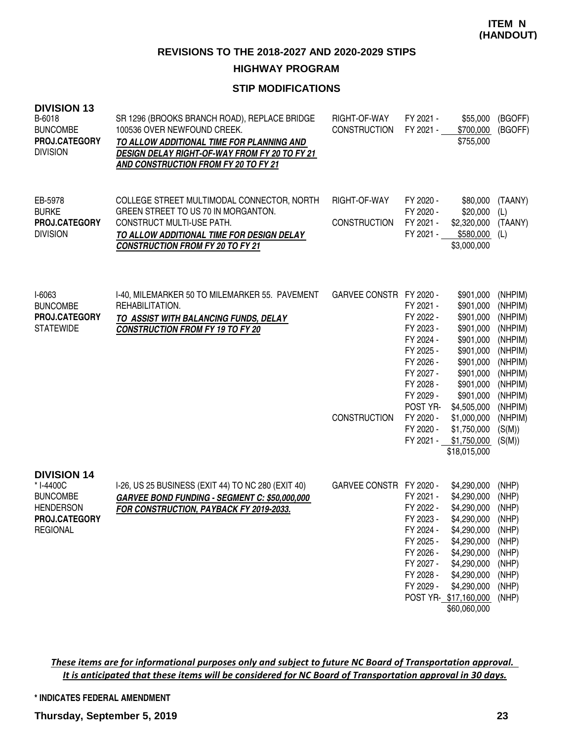## **HIGHWAY PROGRAM**

# **STIP MODIFICATIONS**

| <b>DIVISION 13</b><br>B-6018<br><b>BUNCOMBE</b><br>PROJ.CATEGORY<br><b>DIVISION</b>                        | SR 1296 (BROOKS BRANCH ROAD), REPLACE BRIDGE<br>100536 OVER NEWFOUND CREEK.<br>TO ALLOW ADDITIONAL TIME FOR PLANNING AND<br>DESIGN DELAY RIGHT-OF-WAY FROM FY 20 TO FY 21<br>AND CONSTRUCTION FROM FY 20 TO FY 21 | RIGHT-OF-WAY<br><b>CONSTRUCTION</b>            | FY 2021 -<br>FY 2021 -                                                                                                                                               | \$55,000<br>\$700,000<br>\$755,000                                                                                                                                                                         | (BGOFF)<br>(BGOFF)                                                                                                                                   |
|------------------------------------------------------------------------------------------------------------|-------------------------------------------------------------------------------------------------------------------------------------------------------------------------------------------------------------------|------------------------------------------------|----------------------------------------------------------------------------------------------------------------------------------------------------------------------|------------------------------------------------------------------------------------------------------------------------------------------------------------------------------------------------------------|------------------------------------------------------------------------------------------------------------------------------------------------------|
| EB-5978<br><b>BURKE</b><br>PROJ.CATEGORY<br><b>DIVISION</b>                                                | COLLEGE STREET MULTIMODAL CONNECTOR, NORTH<br>GREEN STREET TO US 70 IN MORGANTON.<br><b>CONSTRUCT MULTI-USE PATH.</b><br>TO ALLOW ADDITIONAL TIME FOR DESIGN DELAY<br><b>CONSTRUCTION FROM FY 20 TO FY 21</b>     | RIGHT-OF-WAY<br><b>CONSTRUCTION</b>            | FY 2020 -<br>FY 2020 -<br>FY 2021 -<br>FY 2021 -                                                                                                                     | \$80,000<br>\$20,000<br>\$2,320,000<br>\$580,000<br>\$3,000,000                                                                                                                                            | (TAANY)<br>(L)<br>(TAANY)<br>(L)                                                                                                                     |
| I-6063<br><b>BUNCOMBE</b><br>PROJ.CATEGORY<br><b>STATEWIDE</b>                                             | I-40, MILEMARKER 50 TO MILEMARKER 55. PAVEMENT<br>REHABILITATION.<br>TO ASSIST WITH BALANCING FUNDS, DELAY<br><b>CONSTRUCTION FROM FY 19 TO FY 20</b>                                                             | GARVEE CONSTR FY 2020 -<br><b>CONSTRUCTION</b> | FY 2021 -<br>FY 2022 -<br>FY 2023 -<br>FY 2024 -<br>FY 2025 -<br>FY 2026 -<br>FY 2027 -<br>FY 2028 -<br>FY 2029 -<br>POST YR-<br>FY 2020 -<br>FY 2020 -<br>FY 2021 - | \$901,000<br>\$901,000<br>\$901,000<br>\$901,000<br>\$901,000<br>\$901,000<br>\$901,000<br>\$901,000<br>\$901,000<br>\$901,000<br>\$4,505,000<br>\$1,000,000<br>\$1,750,000<br>\$1,750,000<br>\$18,015,000 | (NHPIM)<br>(NHPIM)<br>(NHPIM)<br>(NHPIM)<br>(NHPIM)<br>(NHPIM)<br>(NHPIM)<br>(NHPIM)<br>(NHPIM)<br>(NHPIM)<br>(NHPIM)<br>(NHPIM)<br>(S(M))<br>(S(M)) |
| <b>DIVISION 14</b><br>* I-4400C<br><b>BUNCOMBE</b><br><b>HENDERSON</b><br>PROJ.CATEGORY<br><b>REGIONAL</b> | I-26, US 25 BUSINESS (EXIT 44) TO NC 280 (EXIT 40)<br>GARVEE BOND FUNDING - SEGMENT C: \$50,000,000<br>FOR CONSTRUCTION, PAYBACK FY 2019-2033.                                                                    | GARVEE CONSTR FY 2020 -                        | FY 2021 -<br>FY 2022 -<br>FY 2023 -<br>FY 2024 -<br>FY 2025 -<br>FY 2026 -<br>FY 2027 -<br>FY 2028 -<br>FY 2029 -                                                    | \$4,290,000<br>\$4,290,000<br>\$4,290,000<br>\$4,290,000<br>\$4,290,000<br>\$4,290,000<br>\$4,290,000<br>\$4,290,000<br>\$4,290,000<br>\$4,290,000<br>POST YR- \$17,160,000<br>\$60,060,000                | (NHP)<br>(NHP)<br>(NHP)<br>(NHP)<br>(NHP)<br>(NHP)<br>(NHP)<br>(NHP)<br>(NHP)<br>(NHP)<br>(NHP)                                                      |

These items are for informational purposes only and subject to future NC Board of Transportation approval. It is anticipated that these items will be considered for NC Board of Transportation approval in 30 days.

#### **\* INDICATES FEDERAL AMENDMENT**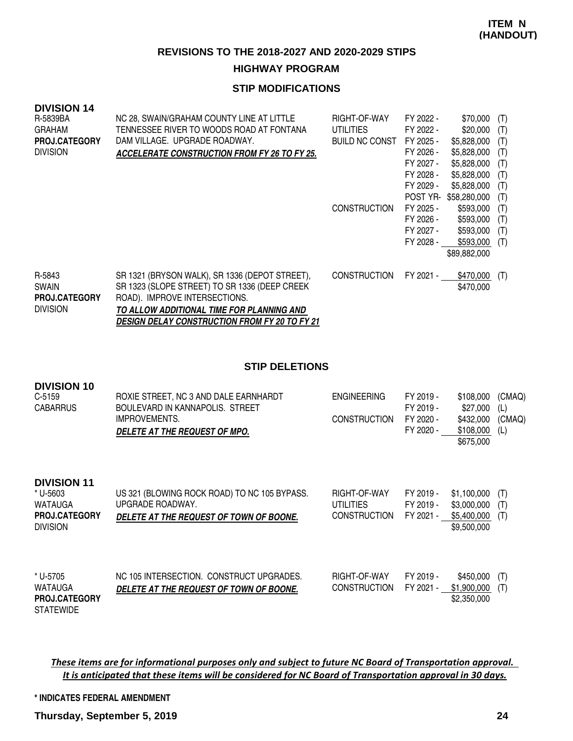#### **HIGHWAY PROGRAM**

## **STIP MODIFICATIONS**

| <b>DIVISION 14</b>   |                                                     |                       |           |              |     |
|----------------------|-----------------------------------------------------|-----------------------|-----------|--------------|-----|
| R-5839BA             | NC 28, SWAIN/GRAHAM COUNTY LINE AT LITTLE           | RIGHT-OF-WAY          | FY 2022 - | \$70,000     | (T) |
| <b>GRAHAM</b>        | TENNESSEE RIVER TO WOODS ROAD AT FONTANA            | <b>UTILITIES</b>      | FY 2022 - | \$20,000     | (T) |
| <b>PROJ.CATEGORY</b> | DAM VILLAGE. UPGRADE ROADWAY.                       | <b>BUILD NC CONST</b> | FY 2025 - | \$5,828,000  | (T) |
| <b>DIVISION</b>      | <b>ACCELERATE CONSTRUCTION FROM FY 26 TO FY 25.</b> |                       | FY 2026 - | \$5,828,000  | (T) |
|                      |                                                     |                       | FY 2027 - | \$5,828,000  | (T) |
|                      |                                                     |                       | FY 2028 - | \$5,828,000  | (T) |
|                      |                                                     |                       | FY 2029 - | \$5,828,000  | (T) |
|                      |                                                     |                       | POST YR-  | \$58,280,000 | (T) |
|                      |                                                     | <b>CONSTRUCTION</b>   | FY 2025 - | \$593,000    | (T) |
|                      |                                                     |                       | FY 2026 - | \$593,000    | (T) |
|                      |                                                     |                       | FY 2027 - | \$593,000    | (T) |
|                      |                                                     |                       | FY 2028 - | \$593,000    | (T) |
|                      |                                                     |                       |           | \$89,882,000 |     |
|                      |                                                     |                       |           |              |     |
| R-5843               | SR 1321 (BRYSON WALK), SR 1336 (DEPOT STREET),      | <b>CONSTRUCTION</b>   | FY 2021 - | \$470,000    | (T) |
| <b>SWAIN</b>         | SR 1323 (SLOPE STREET) TO SR 1336 (DEEP CREEK       |                       |           | \$470,000    |     |
| <b>PROJ.CATEGORY</b> | ROAD). IMPROVE INTERSECTIONS.                       |                       |           |              |     |
| <b>DIVISION</b>      | TO ALLOW ADDITIONAL TIME FOR PLANNING AND           |                       |           |              |     |

**DESIGN DELAY CONSTRUCTION FROM FY 20 TO FY 21**

**STIP DELETIONS**

| טו זושוטוע<br>$C-5159$<br><b>CABARRUS</b>                                            | ROXIE STREET, NC 3 AND DALE EARNHARDT<br>BOULEVARD IN KANNAPOLIS. STREET<br><b>IMPROVEMENTS.</b><br>DELETE AT THE REQUEST OF MPO. | <b>ENGINEERING</b><br><b>CONSTRUCTION</b>        | FY 2019 -<br>FY 2019 -<br>FY 2020 -<br>FY 2020 - | \$108,000<br>\$27,000<br>\$432,000<br>\$108,000<br>\$675,000 | (CMAQ)<br>(L)<br>(CMAQ)<br>(L) |
|--------------------------------------------------------------------------------------|-----------------------------------------------------------------------------------------------------------------------------------|--------------------------------------------------|--------------------------------------------------|--------------------------------------------------------------|--------------------------------|
| <b>DIVISION 11</b><br>* U-5603<br>WATAUGA<br><b>PROJ.CATEGORY</b><br><b>DIVISION</b> | US 321 (BLOWING ROCK ROAD) TO NC 105 BYPASS.<br>UPGRADE ROADWAY.<br>DELETE AT THE REQUEST OF TOWN OF BOONE.                       | RIGHT-OF-WAY<br>UTILITIES<br><b>CONSTRUCTION</b> | FY 2019 -<br>FY 2019 -<br>FY 2021 -              | \$1,100,000<br>\$3,000,000<br>\$5,400,000<br>\$9,500,000     | (T)<br>(T)<br>(T)              |
| * U-5705<br>WATAUGA<br><b>PROJ.CATEGORY</b><br><b>STATEWIDE</b>                      | NC 105 INTERSECTION. CONSTRUCT UPGRADES.<br><i>DELETE AT THE REQUEST OF TOWN OF BOONE.</i>                                        | RIGHT-OF-WAY<br><b>CONSTRUCTION</b>              | FY 2019 -<br>FY 2021 -                           | \$450,000<br>\$1,900,000<br>\$2,350,000                      | (T)<br>(T)                     |

These items are for informational purposes only and subject to future NC Board of Transportation approval. It is anticipated that these items will be considered for NC Board of Transportation approval in 30 days.

**\* INDICATES FEDERAL AMENDMENT**

**DIVISION 10**